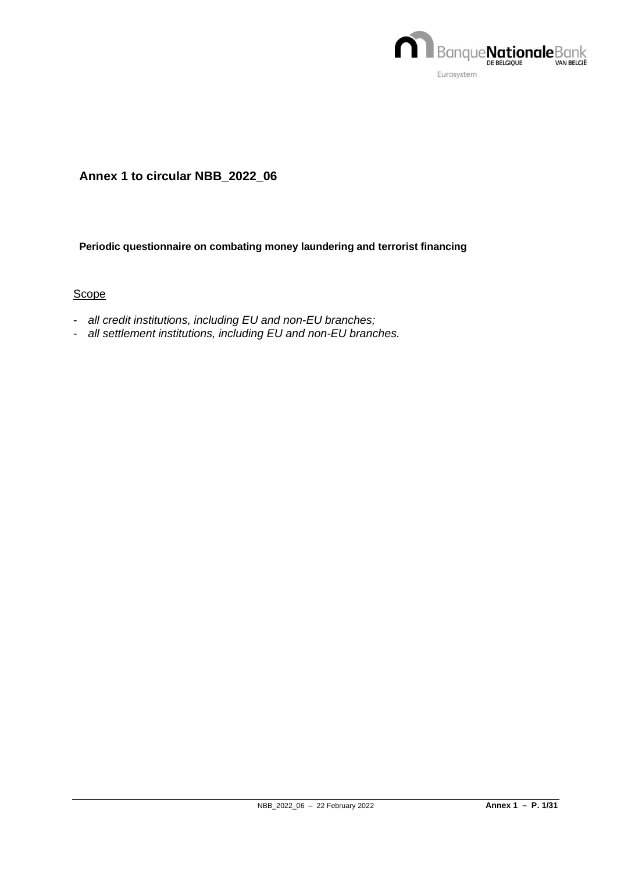

## **Annex 1 to circular NBB\_2022\_06**

#### **Periodic questionnaire on combating money laundering and terrorist financing**

### **Scope**

- *all credit institutions, including EU and non-EU branches;*
- *all settlement institutions, including EU and non-EU branches.*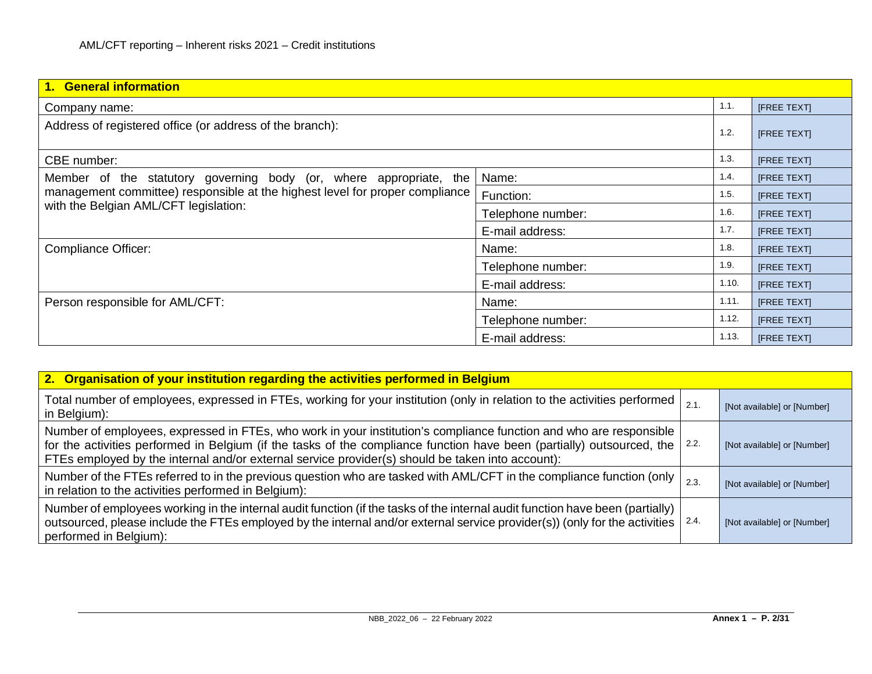| 1. General information                                                                                                |                   |                    |                    |  |  |
|-----------------------------------------------------------------------------------------------------------------------|-------------------|--------------------|--------------------|--|--|
| Company name:                                                                                                         |                   | 1.1.               | <b>IFREE TEXTI</b> |  |  |
| Address of registered office (or address of the branch):                                                              | 1.2.              | <b>IFREE TEXTI</b> |                    |  |  |
| CBE number:                                                                                                           |                   | 1.3.               | <b>IFREE TEXTI</b> |  |  |
| Member of the statutory governing body (or, where appropriate, the                                                    | Name:             | 1.4.               | <b>[FREE TEXT]</b> |  |  |
| management committee) responsible at the highest level for proper compliance<br>with the Belgian AML/CFT legislation: | Function:         | 1.5.               | <b>IFREE TEXTI</b> |  |  |
|                                                                                                                       | Telephone number: | 1.6.               | [FREE TEXT]        |  |  |
|                                                                                                                       | E-mail address:   | 1.7.               | <b>[FREE TEXT]</b> |  |  |
| <b>Compliance Officer:</b>                                                                                            | Name:             | 1.8.               | <b>[FREE TEXT]</b> |  |  |
|                                                                                                                       | Telephone number: | 1.9.               | <b>[FREE TEXT]</b> |  |  |
|                                                                                                                       | E-mail address:   | 1.10.              | <b>[FREE TEXT]</b> |  |  |
| Person responsible for AML/CFT:                                                                                       | Name:             | 1.11.              | <b>IFREE TEXTI</b> |  |  |
|                                                                                                                       | Telephone number: | 1.12.              | <b>IFREE TEXTI</b> |  |  |
|                                                                                                                       | E-mail address:   | 1.13.              | <b>IFREE TEXTI</b> |  |  |

| 2. Organisation of your institution regarding the activities performed in Belgium                                                                                                                                                                                                                                                                |      |                             |
|--------------------------------------------------------------------------------------------------------------------------------------------------------------------------------------------------------------------------------------------------------------------------------------------------------------------------------------------------|------|-----------------------------|
| Total number of employees, expressed in FTEs, working for your institution (only in relation to the activities performed<br>in Belgium):                                                                                                                                                                                                         | 2.1. | [Not available] or [Number] |
| Number of employees, expressed in FTEs, who work in your institution's compliance function and who are responsible<br>for the activities performed in Belgium (if the tasks of the compliance function have been (partially) outsourced, the<br>FTEs employed by the internal and/or external service provider(s) should be taken into account): | 2.2. | [Not available] or [Number] |
| Number of the FTEs referred to in the previous question who are tasked with AML/CFT in the compliance function (only<br>in relation to the activities performed in Belgium):                                                                                                                                                                     | 2.3. | [Not available] or [Number] |
| Number of employees working in the internal audit function (if the tasks of the internal audit function have been (partially)<br>outsourced, please include the FTEs employed by the internal and/or external service provider(s)) (only for the activities<br>performed in Belgium):                                                            | 2.4. | [Not available] or [Number] |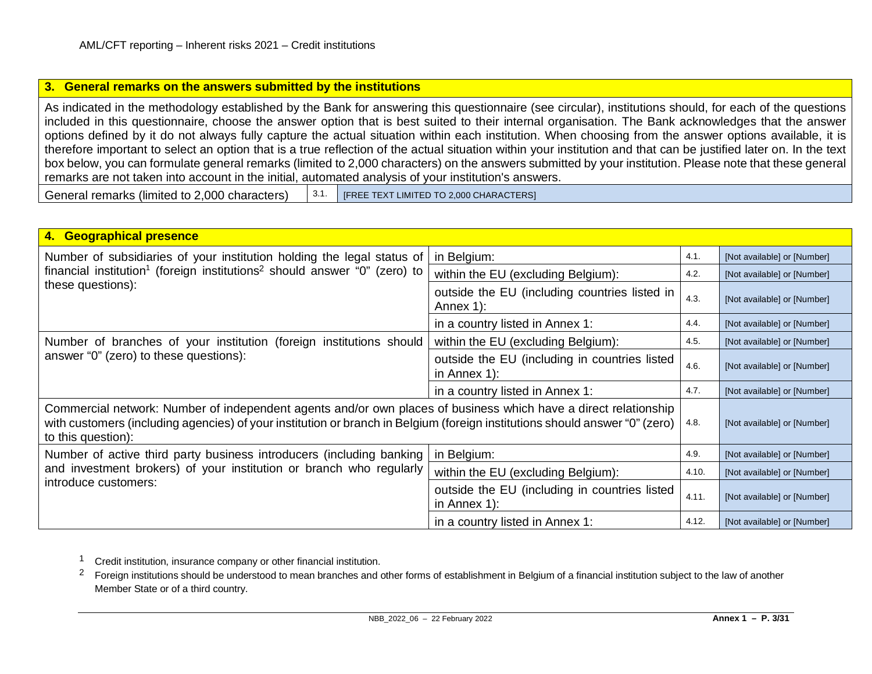#### <span id="page-2-1"></span><span id="page-2-0"></span>**3. General remarks on the answers submitted by the institutions**

As indicated in the methodology established by the Bank for answering this questionnaire (see circular), institutions should, for each of the questions included in this questionnaire, choose the answer option that is best suited to their internal organisation. The Bank acknowledges that the answer options defined by it do not always fully capture the actual situation within each institution. When choosing from the answer options available, it is therefore important to select an option that is a true reflection of the actual situation within your institution and that can be justified later on. In the text box below, you can formulate general remarks (limited to 2,000 characters) on the answers submitted by your institution. Please note that these general remarks are not taken into account in the initial, automated analysis of your institution's answers.

General remarks (limited to 2,000 characters)  $\begin{bmatrix} 3.1. \end{bmatrix}$  [FREE TEXT LIMITED TO 2,000 CHARACTERS]

| 4. Geographical presence                                                                                                                                                                                                                                             |                                                                 |                             |                             |  |  |
|----------------------------------------------------------------------------------------------------------------------------------------------------------------------------------------------------------------------------------------------------------------------|-----------------------------------------------------------------|-----------------------------|-----------------------------|--|--|
| Number of subsidiaries of your institution holding the legal status of                                                                                                                                                                                               | in Belgium:                                                     | 4.1.                        | [Not available] or [Number] |  |  |
| financial institution <sup>1</sup> (foreign institutions <sup>2</sup> should answer "0" (zero) to                                                                                                                                                                    | within the EU (excluding Belgium):                              | 4.2.                        | [Not available] or [Number] |  |  |
| these questions):                                                                                                                                                                                                                                                    | outside the EU (including countries listed in<br>Annex 1):      | 4.3.                        | [Not available] or [Number] |  |  |
|                                                                                                                                                                                                                                                                      | in a country listed in Annex 1:                                 | 4.4.                        | [Not available] or [Number] |  |  |
| Number of branches of your institution (foreign institutions should                                                                                                                                                                                                  | within the EU (excluding Belgium):                              | 4.5.                        | [Not available] or [Number] |  |  |
| answer "0" (zero) to these questions):                                                                                                                                                                                                                               | outside the EU (including in countries listed<br>in Annex $1$ : | 4.6.                        | [Not available] or [Number] |  |  |
|                                                                                                                                                                                                                                                                      | in a country listed in Annex 1:                                 | 4.7.                        | [Not available] or [Number] |  |  |
| Commercial network: Number of independent agents and/or own places of business which have a direct relationship<br>with customers (including agencies) of your institution or branch in Belgium (foreign institutions should answer "0" (zero)<br>to this question): | 4.8.                                                            | [Not available] or [Number] |                             |  |  |
| Number of active third party business introducers (including banking                                                                                                                                                                                                 | in Belgium:                                                     | 4.9.                        | [Not available] or [Number] |  |  |
| and investment brokers) of your institution or branch who regularly                                                                                                                                                                                                  | within the EU (excluding Belgium):                              | 4.10.                       | [Not available] or [Number] |  |  |
| introduce customers:                                                                                                                                                                                                                                                 | outside the EU (including in countries listed<br>in Annex $1$ : | 4.11.                       | [Not available] or [Number] |  |  |
|                                                                                                                                                                                                                                                                      | in a country listed in Annex 1:                                 | 4.12.                       | [Not available] or [Number] |  |  |

1 Credit institution, insurance company or other financial institution.

<sup>2</sup> Foreign institutions should be understood to mean branches and other forms of establishment in Belgium of a financial institution subject to the law of another Member State or of a third country.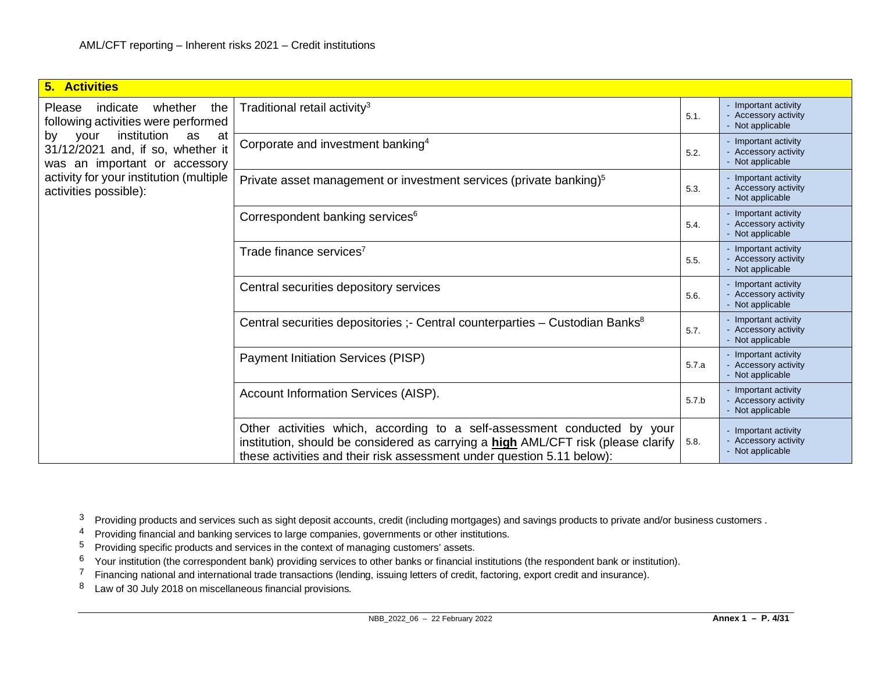<span id="page-3-5"></span><span id="page-3-4"></span><span id="page-3-3"></span><span id="page-3-2"></span><span id="page-3-1"></span><span id="page-3-0"></span>

| <b>5. Activities</b>                                                                                        |                                                                                                                                                                                                                                                  |       |                                                                  |
|-------------------------------------------------------------------------------------------------------------|--------------------------------------------------------------------------------------------------------------------------------------------------------------------------------------------------------------------------------------------------|-------|------------------------------------------------------------------|
| whether<br>the<br>Please<br>indicate<br>following activities were performed                                 | Traditional retail activity <sup>3</sup>                                                                                                                                                                                                         | 5.1.  | - Important activity<br>- Accessory activity<br>- Not applicable |
| institution<br>your<br>by<br>as<br>at<br>31/12/2021 and, if so, whether it<br>was an important or accessory | Corporate and investment banking <sup>4</sup>                                                                                                                                                                                                    | 5.2.  | - Important activity<br>- Accessory activity<br>- Not applicable |
| activity for your institution (multiple<br>activities possible):                                            | Private asset management or investment services (private banking) <sup>5</sup>                                                                                                                                                                   | 5.3.  | - Important activity<br>- Accessory activity<br>- Not applicable |
|                                                                                                             | Correspondent banking services <sup>6</sup>                                                                                                                                                                                                      | 5.4.  | - Important activity<br>- Accessory activity<br>- Not applicable |
|                                                                                                             | Trade finance services <sup>7</sup>                                                                                                                                                                                                              | 5.5.  | - Important activity<br>- Accessory activity<br>- Not applicable |
|                                                                                                             | Central securities depository services                                                                                                                                                                                                           | 5.6.  | - Important activity<br>- Accessory activity<br>- Not applicable |
|                                                                                                             | Central securities depositories :- Central counterparties - Custodian Banks <sup>8</sup>                                                                                                                                                         | 5.7.  | - Important activity<br>- Accessory activity<br>- Not applicable |
|                                                                                                             | <b>Payment Initiation Services (PISP)</b>                                                                                                                                                                                                        |       | - Important activity<br>- Accessory activity<br>- Not applicable |
|                                                                                                             | Account Information Services (AISP).                                                                                                                                                                                                             | 5.7.b | - Important activity<br>- Accessory activity<br>- Not applicable |
|                                                                                                             | Other activities which, according to a self-assessment conducted by your<br>institution, should be considered as carrying a <b>high</b> AML/CFT risk (please clarify  <br>these activities and their risk assessment under question 5.11 below): | 5.8.  | - Important activity<br>- Accessory activity<br>- Not applicable |

<sup>3</sup> Providing products and services such as sight deposit accounts, credit (including mortgages) and savings products to private and/or business customers .

- 4 Providing financial and banking services to large companies, governments or other institutions.
- 5 Providing specific products and services in the context of managing customers' assets.
- $6$  Your institution (the correspondent bank) providing services to other banks or financial institutions (the respondent bank or institution).
- <sup>7</sup> Financing national and international trade transactions (lending, issuing letters of credit, factoring, export credit and insurance).
- 8 Law of 30 July 2018 on miscellaneous financial provisions.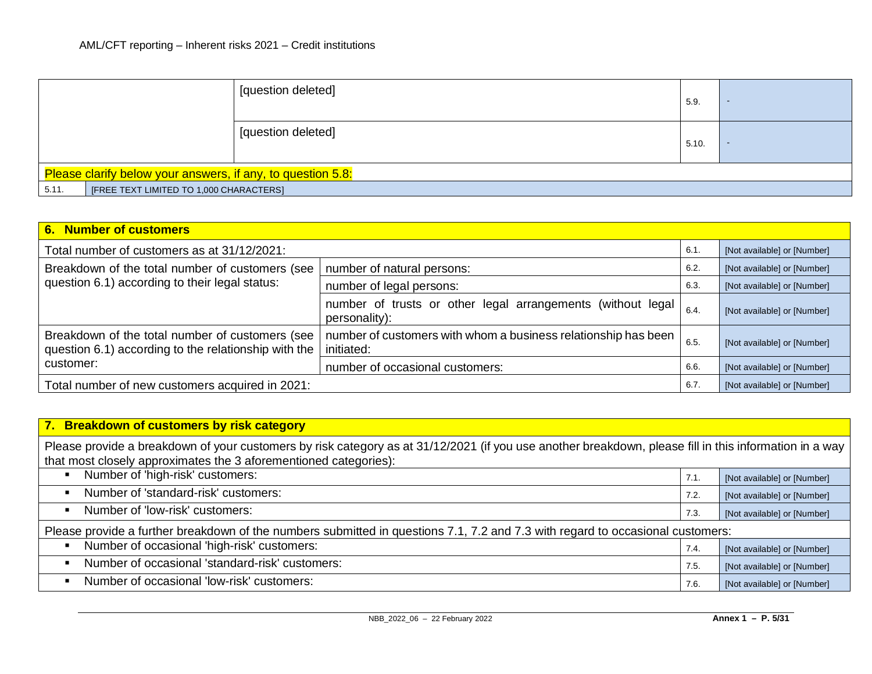|                                                             | [question deleted] | 5.9.  | $\overline{\phantom{a}}$ |
|-------------------------------------------------------------|--------------------|-------|--------------------------|
|                                                             | [question deleted] | 5.10. |                          |
| Please clarify below your answers, if any, to question 5.8: |                    |       |                          |
| 5.11.<br>[FREE TEXT LIMITED TO 1,000 CHARACTERS]            |                    |       |                          |

| 6. Number of customers                                                                                  |                                                                              |      |                             |  |  |
|---------------------------------------------------------------------------------------------------------|------------------------------------------------------------------------------|------|-----------------------------|--|--|
| Total number of customers as at 31/12/2021:<br>6.1.                                                     |                                                                              |      | [Not available] or [Number] |  |  |
| Breakdown of the total number of customers (see<br>number of natural persons:                           |                                                                              |      | [Not available] or [Number] |  |  |
| question 6.1) according to their legal status:                                                          | number of legal persons:                                                     | 6.3  | [Not available] or [Number] |  |  |
|                                                                                                         | number of trusts or other legal arrangements (without legal<br>personality): | 6.4  | [Not available] or [Number] |  |  |
| Breakdown of the total number of customers (see<br>question 6.1) according to the relationship with the | number of customers with whom a business relationship has been<br>initiated: | 6.5. | [Not available] or [Number] |  |  |
| customer:                                                                                               | number of occasional customers:                                              | 6.6  | [Not available] or [Number] |  |  |
| Total number of new customers acquired in 2021:                                                         |                                                                              | 6.7. | [Not available] or [Number] |  |  |

| 7. Breakdown of customers by risk category                                                                                                                                                                                 |      |                             |  |  |
|----------------------------------------------------------------------------------------------------------------------------------------------------------------------------------------------------------------------------|------|-----------------------------|--|--|
| Please provide a breakdown of your customers by risk category as at 31/12/2021 (if you use another breakdown, please fill in this information in a way<br>that most closely approximates the 3 aforementioned categories): |      |                             |  |  |
| Number of 'high-risk' customers:                                                                                                                                                                                           | 7.1. | [Not available] or [Number] |  |  |
| Number of 'standard-risk' customers:<br>$\blacksquare$                                                                                                                                                                     | 7.2. | [Not available] or [Number] |  |  |
| Number of 'low-risk' customers:<br>$\blacksquare$                                                                                                                                                                          | 7.3. | [Not available] or [Number] |  |  |
| Please provide a further breakdown of the numbers submitted in questions 7.1, 7.2 and 7.3 with regard to occasional customers:                                                                                             |      |                             |  |  |
| Number of occasional 'high-risk' customers:                                                                                                                                                                                | 7.4. | [Not available] or [Number] |  |  |
| Number of occasional 'standard-risk' customers:                                                                                                                                                                            | 7.5. | [Not available] or [Number] |  |  |
| Number of occasional 'low-risk' customers:<br>$\blacksquare$                                                                                                                                                               | 7.6. | [Not available] or [Number] |  |  |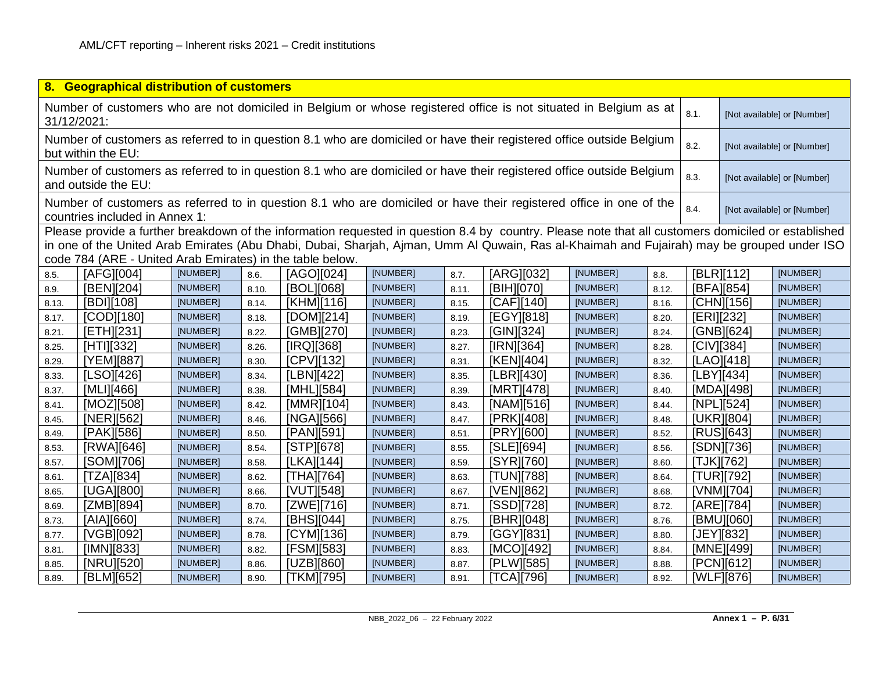|                                                                                                                                         | 8. Geographical distribution of customers                 |          |       |                                                                                                                                                                                                                                                                                                   |          |       |            |          |       |                             |                  |                             |
|-----------------------------------------------------------------------------------------------------------------------------------------|-----------------------------------------------------------|----------|-------|---------------------------------------------------------------------------------------------------------------------------------------------------------------------------------------------------------------------------------------------------------------------------------------------------|----------|-------|------------|----------|-------|-----------------------------|------------------|-----------------------------|
| Number of customers who are not domiciled in Belgium or whose registered office is not situated in Belgium as at<br>8.1.<br>31/12/2021: |                                                           |          |       |                                                                                                                                                                                                                                                                                                   |          |       |            |          |       | [Not available] or [Number] |                  |                             |
| but within the EU:                                                                                                                      |                                                           |          |       | Number of customers as referred to in question 8.1 who are domiciled or have their registered office outside Belgium                                                                                                                                                                              |          |       |            |          |       | 8.2.                        |                  | [Not available] or [Number] |
|                                                                                                                                         | and outside the EU:                                       |          |       | Number of customers as referred to in question 8.1 who are domiciled or have their registered office outside Belgium                                                                                                                                                                              |          |       |            |          |       | 8.3.                        |                  | [Not available] or [Number] |
|                                                                                                                                         | countries included in Annex 1:                            |          |       | Number of customers as referred to in question 8.1 who are domiciled or have their registered office in one of the                                                                                                                                                                                |          |       |            |          |       | 8.4.                        |                  | [Not available] or [Number] |
|                                                                                                                                         | code 784 (ARE - United Arab Emirates) in the table below. |          |       | Please provide a further breakdown of the information requested in question 8.4 by country. Please note that all customers domiciled or established<br>in one of the United Arab Emirates (Abu Dhabi, Dubai, Sharjah, Ajman, Umm Al Quwain, Ras al-Khaimah and Fujairah) may be grouped under ISO |          |       |            |          |       |                             |                  |                             |
| 8.5.                                                                                                                                    | [AFG][004]                                                | [NUMBER] | 8.6.  | [AGO][024]                                                                                                                                                                                                                                                                                        | [NUMBER] | 8.7.  | [ARG][032] | [NUMBER] | 8.8.  |                             | [BLR][112]       | [NUMBER]                    |
| 8.9.                                                                                                                                    | [BEN][204]                                                | [NUMBER] | 8.10. | [BOL][068]                                                                                                                                                                                                                                                                                        | [NUMBER] | 8.11. | [BIH][070] | [NUMBER] | 8.12. |                             | [BFA][854]       | [NUMBER]                    |
| 8.13.                                                                                                                                   | [BDI][108]                                                | [NUMBER] | 8.14. | [KHM][116]                                                                                                                                                                                                                                                                                        | [NUMBER] | 8.15. | [CAF][140] | [NUMBER] | 8.16. |                             | [CHN][156]       | [NUMBER]                    |
| 8.17.                                                                                                                                   | [COD][180]                                                | [NUMBER] | 8.18. | [DOM][214]                                                                                                                                                                                                                                                                                        | [NUMBER] | 8.19. | [EGY][818] | [NUMBER] | 8.20. |                             | [ERI][232]       | [NUMBER]                    |
| 8.21.                                                                                                                                   | [ETH][231]                                                | [NUMBER] | 8.22. | [GMB][270]                                                                                                                                                                                                                                                                                        | [NUMBER] | 8.23. | [GIN][324] | [NUMBER] | 8.24. |                             | [GNB][624]       | [NUMBER]                    |
| 8.25.                                                                                                                                   | [HTI][332]                                                | [NUMBER] | 8.26. | [IRQ][368]                                                                                                                                                                                                                                                                                        | [NUMBER] | 8.27. | [IRN][364] | [NUMBER] | 8.28. |                             | [CIV][384]       | [NUMBER]                    |
| 8.29.                                                                                                                                   | [YEM][887]                                                | [NUMBER] | 8.30. | [CPV][132]                                                                                                                                                                                                                                                                                        | [NUMBER] | 8.31. | [KEN][404] | [NUMBER] | 8.32. |                             | [LAO][418]       | [NUMBER]                    |
| 8.33.                                                                                                                                   | [LSO][426]                                                | [NUMBER] | 8.34. | [LBN][422]                                                                                                                                                                                                                                                                                        | [NUMBER] | 8.35. | [LBR][430] | [NUMBER] | 8.36. |                             | [LBY][434]       | [NUMBER]                    |
| 8.37.                                                                                                                                   | [MLI][466]                                                | [NUMBER] | 8.38. | [MHL][584]                                                                                                                                                                                                                                                                                        | [NUMBER] | 8.39. | [MRT][478] | [NUMBER] | 8.40. |                             | [MDA][498]       | [NUMBER]                    |
| 8.41.                                                                                                                                   | [MOZ][508]                                                | [NUMBER] | 8.42. | [MMR][104]                                                                                                                                                                                                                                                                                        | [NUMBER] | 8.43. | [NAM][516] | [NUMBER] | 8.44. |                             | [NPL][524]       | [NUMBER]                    |
| 8.45.                                                                                                                                   | [NER][562]                                                | [NUMBER] | 8.46. | [NGA][566]                                                                                                                                                                                                                                                                                        | [NUMBER] | 8.47. | [PRK][408] | [NUMBER] | 8.48. |                             | [UKR][804]       | [NUMBER]                    |
| 8.49.                                                                                                                                   | [PAK][586]                                                | [NUMBER] | 8.50  | [PAN][591]                                                                                                                                                                                                                                                                                        | [NUMBER] | 8.51. | [PRY][600] | [NUMBER] | 8.52. |                             | [RUS][643]       | [NUMBER]                    |
| 8.53.                                                                                                                                   | [RWA][646]                                                | [NUMBER] | 8.54. | $[STPI]$ [678]                                                                                                                                                                                                                                                                                    | [NUMBER] | 8.55. | [SLE][694] | [NUMBER] | 8.56. |                             | [SDN][736]       | [NUMBER]                    |
| 8.57.                                                                                                                                   | [SOM][706]                                                | [NUMBER] | 8.58. | [LKA][144]                                                                                                                                                                                                                                                                                        | [NUMBER] | 8.59. | [SYR][760] | [NUMBER] | 8.60. |                             | [TJK][762]       | [NUMBER]                    |
| 8.61.                                                                                                                                   | [TZA][834]                                                | [NUMBER] | 8.62. | [THA][764]                                                                                                                                                                                                                                                                                        | [NUMBER] | 8.63. | [TUN][788] | [NUMBER] | 8.64. |                             | <b>TUR</b> [792] | [NUMBER]                    |
| 8.65.                                                                                                                                   | [UGA][800]                                                | [NUMBER] | 8.66. | [VUT][548]                                                                                                                                                                                                                                                                                        | [NUMBER] | 8.67. | [VEN][862] | [NUMBER] | 8.68. |                             | [VNM][704]       | [NUMBER]                    |
| 8.69.                                                                                                                                   | [ZMB][894]                                                | [NUMBER] | 8.70. | [ZWE][716]                                                                                                                                                                                                                                                                                        | [NUMBER] | 8.71. | [SSD][728] | [NUMBER] | 8.72. |                             | [ARE][784]       | [NUMBER]                    |
| 8.73.                                                                                                                                   | [AIA][660]                                                | [NUMBER] | 8.74. | [BHS][044]                                                                                                                                                                                                                                                                                        | [NUMBER] | 8.75. | [BHR][048] | [NUMBER] | 8.76. |                             | [BMU][060]       | [NUMBER]                    |
| 8.77.                                                                                                                                   | [VGB][092]                                                | [NUMBER] | 8.78. | [CYM][136]                                                                                                                                                                                                                                                                                        | [NUMBER] | 8.79. | [GGY][831] | [NUMBER] | 8.80. |                             | [JEY][832]       | [NUMBER]                    |
| 8.81.                                                                                                                                   | [IMN][833]                                                | [NUMBER] | 8.82. | [FSM][583]                                                                                                                                                                                                                                                                                        | [NUMBER] | 8.83. | [MCO][492] | [NUMBER] | 8.84. |                             | [MNE][499]       | [NUMBER]                    |
| 8.85.                                                                                                                                   | [NRU][520]                                                | [NUMBER] | 8.86  | [UZB][860]                                                                                                                                                                                                                                                                                        | [NUMBER] | 8.87. | [PLW][585] | [NUMBER] | 8.88. |                             | [PCN][612]       | [NUMBER]                    |
| 8.89.                                                                                                                                   | [BLM][652]                                                | [NUMBER] | 8.90. | [TKM][795]                                                                                                                                                                                                                                                                                        | [NUMBER] | 8.91. | [TCA][796] | [NUMBER] | 8.92. |                             | [WLF][876]       | [NUMBER]                    |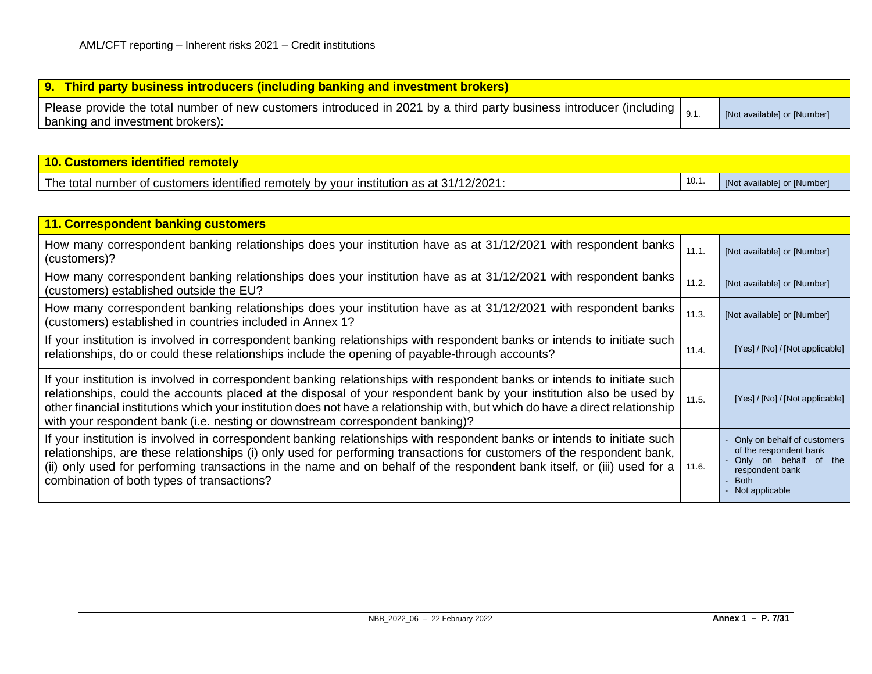| <b>9. Third party business introducers (including banking and investment brokers)</b>                                                                                 |                             |
|-----------------------------------------------------------------------------------------------------------------------------------------------------------------------|-----------------------------|
| Please provide the total number of new customers introduced in 2021 by a third party business introducer (including $\vert_{9.1}$<br>banking and investment brokers): | [Not available] or [Number] |

| 10. Customers identified remotely                                                       |       |                             |
|-----------------------------------------------------------------------------------------|-------|-----------------------------|
| The total number of customers identified remotely by your institution as at 31/12/2021: | 10.1. | [Not available] or [Number] |

| 11. Correspondent banking customers                                                                                                                                                                                                                                                                                                                                                                                                                                 |       |                                                                                                                                    |
|---------------------------------------------------------------------------------------------------------------------------------------------------------------------------------------------------------------------------------------------------------------------------------------------------------------------------------------------------------------------------------------------------------------------------------------------------------------------|-------|------------------------------------------------------------------------------------------------------------------------------------|
| How many correspondent banking relationships does your institution have as at 31/12/2021 with respondent banks<br>(customers)?                                                                                                                                                                                                                                                                                                                                      | 11.1. | [Not available] or [Number]                                                                                                        |
| How many correspondent banking relationships does your institution have as at 31/12/2021 with respondent banks<br>(customers) established outside the EU?                                                                                                                                                                                                                                                                                                           | 11.2. | [Not available] or [Number]                                                                                                        |
| How many correspondent banking relationships does your institution have as at 31/12/2021 with respondent banks<br>(customers) established in countries included in Annex 1?                                                                                                                                                                                                                                                                                         | 11.3. | [Not available] or [Number]                                                                                                        |
| If your institution is involved in correspondent banking relationships with respondent banks or intends to initiate such<br>relationships, do or could these relationships include the opening of payable-through accounts?                                                                                                                                                                                                                                         | 11.4. | [Yes] / [No] / [Not applicable]                                                                                                    |
| If your institution is involved in correspondent banking relationships with respondent banks or intends to initiate such<br>relationships, could the accounts placed at the disposal of your respondent bank by your institution also be used by<br>other financial institutions which your institution does not have a relationship with, but which do have a direct relationship<br>with your respondent bank (i.e. nesting or downstream correspondent banking)? | 11.5. | [Yes] / [No] / [Not applicable]                                                                                                    |
| If your institution is involved in correspondent banking relationships with respondent banks or intends to initiate such<br>relationships, are these relationships (i) only used for performing transactions for customers of the respondent bank,<br>(ii) only used for performing transactions in the name and on behalf of the respondent bank itself, or (iii) used for a<br>combination of both types of transactions?                                         | 11.6. | Only on behalf of customers<br>of the respondent bank<br>Only on behalf of the<br>respondent bank<br><b>Both</b><br>Not applicable |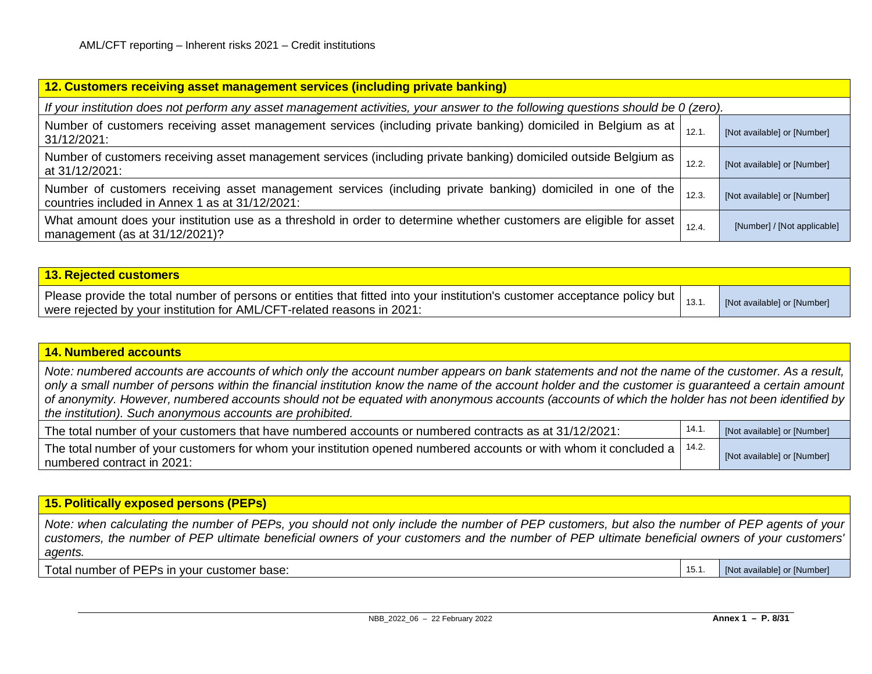| 12. Customers receiving asset management services (including private banking)                                                                                  |       |                             |  |  |
|----------------------------------------------------------------------------------------------------------------------------------------------------------------|-------|-----------------------------|--|--|
| If your institution does not perform any asset management activities, your answer to the following questions should be 0 (zero).                               |       |                             |  |  |
| Number of customers receiving asset management services (including private banking) domiciled in Belgium as at<br>31/12/2021:                                  | 12.1  | [Not available] or [Number] |  |  |
| Number of customers receiving asset management services (including private banking) domiciled outside Belgium as<br>at 31/12/2021:                             | 12.2. | [Not available] or [Number] |  |  |
| Number of customers receiving asset management services (including private banking) domiciled in one of the<br>countries included in Annex 1 as at 31/12/2021: | 12.3. | [Not available] or [Number] |  |  |
| What amount does your institution use as a threshold in order to determine whether customers are eligible for asset<br>management (as at $31/12/2021$ )?       | 12.4  | [Number] / [Not applicable] |  |  |

| 13. Rejected customers                                                                                                                                                                                                   |                             |
|--------------------------------------------------------------------------------------------------------------------------------------------------------------------------------------------------------------------------|-----------------------------|
| Please provide the total number of persons or entities that fitted into your institution's customer acceptance policy but $ $ <sub>13.1.</sub><br>were rejected by your institution for AML/CFT-related reasons in 2021: | [Not available] or [Number] |

### **14. Numbered accounts**

*Note: numbered accounts are accounts of which only the account number appears on bank statements and not the name of the customer. As a result, only a small number of persons within the financial institution know the name of the account holder and the customer is guaranteed a certain amount of anonymity. However, numbered accounts should not be equated with anonymous accounts (accounts of which the holder has not been identified by the institution). Such anonymous accounts are prohibited.*

| The total number of your customers that have numbered accounts or numbered contracts as at 31/12/2021:                          | [Not available] or [Number] |
|---------------------------------------------------------------------------------------------------------------------------------|-----------------------------|
| The total number of your customers for whom your institution opened numbered accounts or with whom it concluded a $\vert$ 14.2. | [Not available] or [Number] |
| numbered contract in 2021:                                                                                                      |                             |

### **15. Politically exposed persons (PEPs)**

*Note: when calculating the number of PEPs, you should not only include the number of PEP customers, but also the number of PEP agents of your customers, the number of PEP ultimate beneficial owners of your customers and the number of PEP ultimate beneficial owners of your customers' agents.*

Total number of PEPs in your customer base: 15.1. [Not available] or [Number] 15.1. [Not available] or [Number]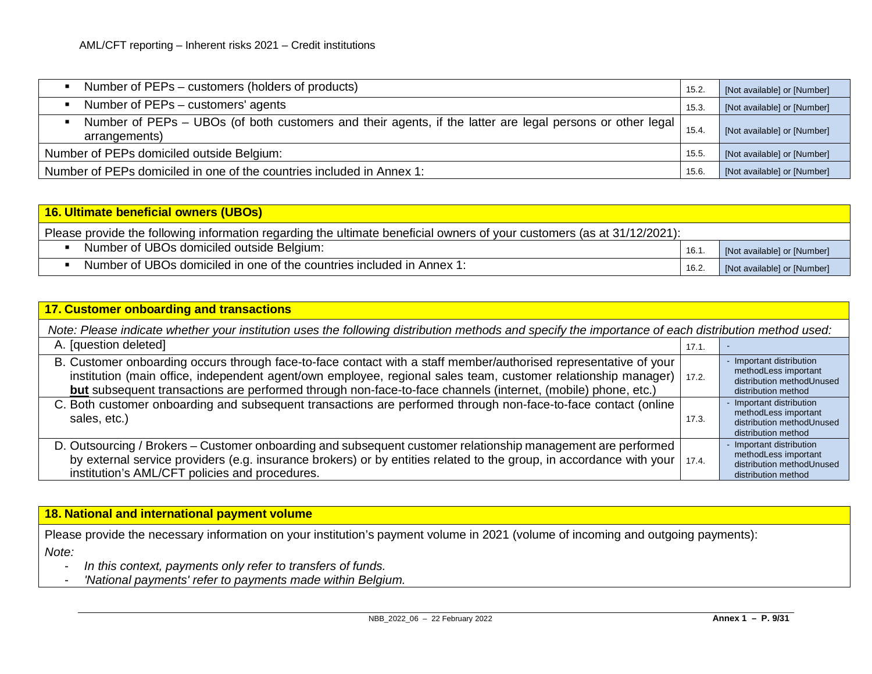| Number of PEPs – customers (holders of products)                                                                           | 15.2. | [Not available] or [Number] |
|----------------------------------------------------------------------------------------------------------------------------|-------|-----------------------------|
| Number of PEPs – customers' agents                                                                                         | 15.3  | [Not available] or [Number] |
| Number of PEPs – UBOs (of both customers and their agents, if the latter are legal persons or other legal<br>arrangements) | 15.4. | [Not available] or [Number] |
| Number of PEPs domiciled outside Belgium:                                                                                  | 15.5  | [Not available] or [Number] |
| Number of PEPs domiciled in one of the countries included in Annex 1:                                                      | 15.6. | [Not available] or [Number] |

| 16. Ultimate beneficial owners (UBOs)                                                                                   |       |                             |  |  |  |  |  |  |  |
|-------------------------------------------------------------------------------------------------------------------------|-------|-----------------------------|--|--|--|--|--|--|--|
| Please provide the following information regarding the ultimate beneficial owners of your customers (as at 31/12/2021): |       |                             |  |  |  |  |  |  |  |
| Number of UBOs domiciled outside Belgium:                                                                               | 16.1. | [Not available] or [Number] |  |  |  |  |  |  |  |
| Number of UBOs domiciled in one of the countries included in Annex 1:                                                   | 16.2. | [Not available] or [Number] |  |  |  |  |  |  |  |

| <b>17. Customer onboarding and transactions</b>                                                                                                                                                                                                                                                                                                   |       |                                                                                                      |  |  |  |  |  |  |  |
|---------------------------------------------------------------------------------------------------------------------------------------------------------------------------------------------------------------------------------------------------------------------------------------------------------------------------------------------------|-------|------------------------------------------------------------------------------------------------------|--|--|--|--|--|--|--|
| Note: Please indicate whether your institution uses the following distribution methods and specify the importance of each distribution method used:                                                                                                                                                                                               |       |                                                                                                      |  |  |  |  |  |  |  |
| A. [question deleted]                                                                                                                                                                                                                                                                                                                             | 17.1. |                                                                                                      |  |  |  |  |  |  |  |
| B. Customer onboarding occurs through face-to-face contact with a staff member/authorised representative of your<br>institution (main office, independent agent/own employee, regional sales team, customer relationship manager)<br>but subsequent transactions are performed through non-face-to-face channels (internet, (mobile) phone, etc.) | 17.2. | - Important distribution<br>methodLess important<br>distribution methodUnused<br>distribution method |  |  |  |  |  |  |  |
| C. Both customer onboarding and subsequent transactions are performed through non-face-to-face contact (online<br>sales, etc.)                                                                                                                                                                                                                    | 17.3. | - Important distribution<br>methodLess important<br>distribution methodUnused<br>distribution method |  |  |  |  |  |  |  |
| D. Outsourcing / Brokers - Customer onboarding and subsequent customer relationship management are performed<br>by external service providers (e.g. insurance brokers) or by entities related to the group, in accordance with your  <br>institution's AML/CFT policies and procedures.                                                           | 17.4. | Important distribution<br>methodLess important<br>distribution methodUnused<br>distribution method   |  |  |  |  |  |  |  |

## **18. National and international payment volume**

Please provide the necessary information on your institution's payment volume in 2021 (volume of incoming and outgoing payments): *Note:*

- *In this context, payments only refer to transfers of funds.*
- *- 'National payments' refer to payments made within Belgium.*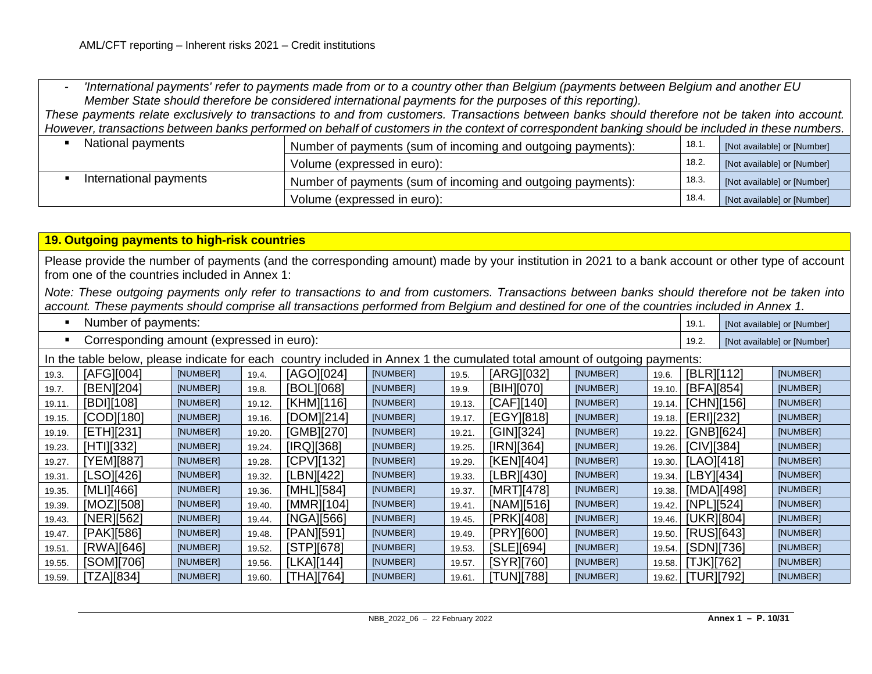*- 'International payments' refer to payments made from or to a country other than Belgium (payments between Belgium and another EU Member State should therefore be considered international payments for the purposes of this reporting).*

*These payments relate exclusively to transactions to and from customers. Transactions between banks should therefore not be taken into account. However, transactions between banks performed on behalf of customers in the context of correspondent banking should be included in these numbers.*

| National payments      | Number of payments (sum of incoming and outgoing payments): | 18.1  | [Not available] or [Number] |
|------------------------|-------------------------------------------------------------|-------|-----------------------------|
|                        | Volume (expressed in euro):                                 | 18.2. | [Not available] or [Number] |
| International payments | Number of payments (sum of incoming and outgoing payments): | 18.3. | [Not available] or [Number] |
|                        | Volume (expressed in euro):                                 | 18.4. | [Not available] or [Number] |

| 19. Outgoing payments to high-risk countries                                                                                                                                                                                                                                                |                                                                                                                           |          |        |            |          |        |            |          |        |            |  |                             |
|---------------------------------------------------------------------------------------------------------------------------------------------------------------------------------------------------------------------------------------------------------------------------------------------|---------------------------------------------------------------------------------------------------------------------------|----------|--------|------------|----------|--------|------------|----------|--------|------------|--|-----------------------------|
| Please provide the number of payments (and the corresponding amount) made by your institution in 2021 to a bank account or other type of account<br>from one of the countries included in Annex 1:                                                                                          |                                                                                                                           |          |        |            |          |        |            |          |        |            |  |                             |
| Note: These outgoing payments only refer to transactions to and from customers. Transactions between banks should therefore not be taken into<br>account. These payments should comprise all transactions performed from Belgium and destined for one of the countries included in Annex 1. |                                                                                                                           |          |        |            |          |        |            |          |        |            |  |                             |
|                                                                                                                                                                                                                                                                                             | Number of payments:                                                                                                       |          |        |            |          |        |            |          |        | 19.1.      |  | [Not available] or [Number] |
|                                                                                                                                                                                                                                                                                             | Corresponding amount (expressed in euro):                                                                                 |          |        |            |          |        |            |          |        | 19.2.      |  | [Not available] or [Number] |
|                                                                                                                                                                                                                                                                                             | In the table below, please indicate for each country included in Annex 1 the cumulated total amount of outgoing payments: |          |        |            |          |        |            |          |        |            |  |                             |
| 19.3.                                                                                                                                                                                                                                                                                       | [AFG][004]                                                                                                                | [NUMBER] | 19.4.  | [AGO][024] | [NUMBER] | 19.5.  | [ARG][032] | [NUMBER] | 19.6.  | [BLR][112] |  | [NUMBER]                    |
| 19.7.                                                                                                                                                                                                                                                                                       | [BEN][204]                                                                                                                | [NUMBER] | 19.8.  | [BOL][068] | [NUMBER] | 19.9.  | [BIH][070] | [NUMBER] | 19.10. | [BFA][854] |  | [NUMBER]                    |
| 19.11.                                                                                                                                                                                                                                                                                      | [BDI][108]                                                                                                                | [NUMBER] | 19.12. | [KHM][116] | [NUMBER] | 19.13. | [CAF][140] | [NUMBER] | 19.14. | [CHN][156] |  | [NUMBER]                    |
| 19.15.                                                                                                                                                                                                                                                                                      | [COD][180]                                                                                                                | [NUMBER] | 19.16. | [DOM][214] | [NUMBER] | 19.17. | [EGY][818] | [NUMBER] | 19.18. | [ERI][232] |  | [NUMBER]                    |
| 19.19.                                                                                                                                                                                                                                                                                      | [ETH][231]                                                                                                                | [NUMBER] | 19.20. | [GMB][270] | [NUMBER] | 19.21  | [GIN][324] | [NUMBER] | 19.22. | [GNB][624] |  | [NUMBER]                    |
| 19.23.                                                                                                                                                                                                                                                                                      | [HTI][332]                                                                                                                | [NUMBER] | 19.24. | [IRQ][368] | [NUMBER] | 19.25  | [IRN][364] | [NUMBER] | 19.26. | [CIV][384] |  | [NUMBER]                    |
| 19.27.                                                                                                                                                                                                                                                                                      | [YEM][887]                                                                                                                | [NUMBER] | 19.28. | [CPV][132] | [NUMBER] | 19.29  | [KEN][404] | [NUMBER] | 19.30. | [LAO][418] |  | [NUMBER]                    |
| 19.31.                                                                                                                                                                                                                                                                                      | [LSO][426]                                                                                                                | [NUMBER] | 19.32. | [LBN][422] | [NUMBER] | 19.33. | [LBR][430] | [NUMBER] | 19.34. | [LBY][434] |  | [NUMBER]                    |
| 19.35.                                                                                                                                                                                                                                                                                      | [MLI][466]                                                                                                                | [NUMBER] | 19.36. | [MHL][584] | [NUMBER] | 19.37  | [MRT][478] | [NUMBER] | 19.38. | [MDA][498] |  | [NUMBER]                    |
| 19.39.                                                                                                                                                                                                                                                                                      | [MOZ][508]                                                                                                                | [NUMBER] | 19.40. | [MMR][104] | [NUMBER] | 19.41  | [NAM][516] | [NUMBER] | 19.42. | [NPL][524] |  | [NUMBER]                    |
| 19.43.                                                                                                                                                                                                                                                                                      | [NER][562]                                                                                                                | [NUMBER] | 19.44. | [NGA][566] | [NUMBER] | 19.45  | [PRK][408] | [NUMBER] | 19.46. | [UKR][804] |  | [NUMBER]                    |
| 19.47.                                                                                                                                                                                                                                                                                      | [PAK][586]                                                                                                                | [NUMBER] | 19.48. | [PAN][591] | [NUMBER] | 19.49  | [PRY][600] | [NUMBER] | 19.50. | [RUS][643] |  | [NUMBER]                    |
| 19.51.                                                                                                                                                                                                                                                                                      | [RWA][646]                                                                                                                | [NUMBER] | 19.52. | [STP][678] | [NUMBER] | 19.53. | [SLE][694] | [NUMBER] | 19.54. | [SDN][736] |  | [NUMBER]                    |
| 19.55.                                                                                                                                                                                                                                                                                      | [SOM][706]                                                                                                                | [NUMBER] | 19.56. | [LKA][144] | [NUMBER] | 19.57. | [SYR][760] | [NUMBER] | 19.58. | [TJK][762] |  | [NUMBER]                    |
| 19.59.                                                                                                                                                                                                                                                                                      | [TZA][834]                                                                                                                | [NUMBER] | 19.60. | [THA][764] | [NUMBER] | 19.61. | [TUN][788] | [NUMBER] | 19.62. | [TUR][792] |  | [NUMBER]                    |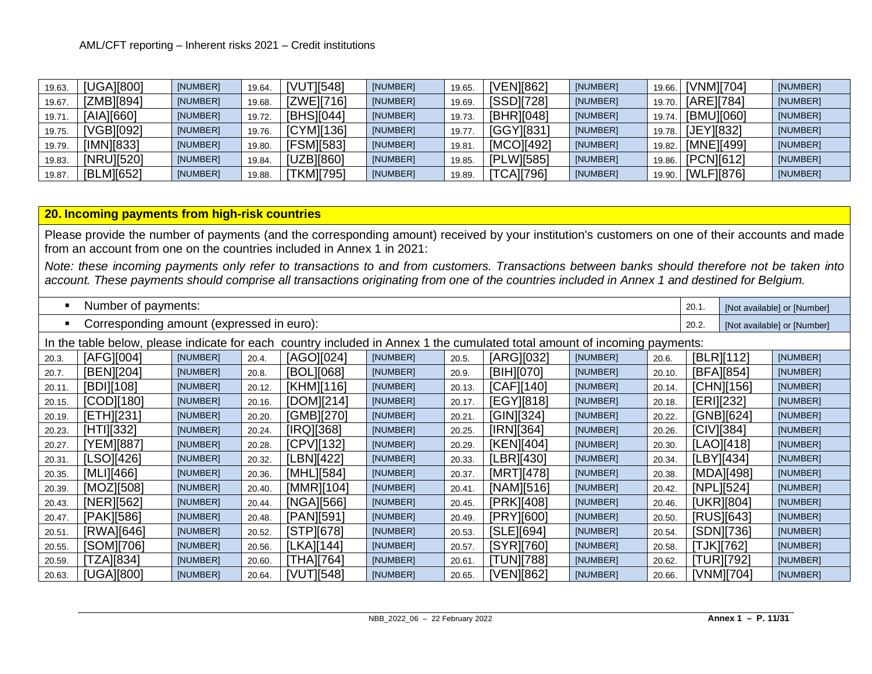| 19.63. | [UGA][800] | [NUMBER] | 19.64. | [VUT][548] | [NUMBER] | 19.65. | <b>IVENI8621</b> | [NUMBER] | 19.66. | [VNM][704] | [NUMBER] |
|--------|------------|----------|--------|------------|----------|--------|------------------|----------|--------|------------|----------|
| 19.67. | ZMB][894]  | [NUMBER] | 19.68. | [ZWE][716] | [NUMBER] | 19.69  | <b>ISSDI7281</b> | [NUMBER] | 19.70. | [ARE][784] | [NUMBER] |
| 19.71. | [AIA][660] | [NUMBER] | 19.72. | [BHS][044] | [NUMBER] | 19.73. | [BHR][048]       | [NUMBER] | 19.74. | [BMU][060] | [NUMBER] |
| 19.75. | VGB][092]  | [NUMBER] | 19.76. | [CYM][136] | [NUMBER] | 19.77  | [GGY][831]       | [NUMBER] | 19.78. | [JEY][832] | [NUMBER] |
| 19.79. | [IMN][833] | [NUMBER] | 19.80. | [FSM][583] | [NUMBER] | 19.81  | [MCO][492]       | [NUMBER] | 19.82. | [MNE][499] | [NUMBER] |
| 19.83. | [NRU][520] | [NUMBER] | 19.84. | [UZB][860] | [NUMBER] | 19.85. | [PLW][585]       | [NUMBER] | 19.86. | [PCN][612] | [NUMBER] |
| 19.87. | [BLM][652] | [NUMBER] | 19.88. | [TKM][795] | [NUMBER] | 19.89. | [TCA][796]       | [NUMBER] | 19.90. | [WLF][876] | [NUMBER] |

## **20. Incoming payments from high-risk countries**

Please provide the number of payments (and the corresponding amount) received by your institution's customers on one of their accounts and made from an account from one on the countries included in Annex 1 in 2021:

*Note: these incoming payments only refer to transactions to and from customers. Transactions between banks should therefore not be taken into account. These payments should comprise all transactions originating from one of the countries included in Annex 1 and destined for Belgium.*

| Number of payments:                       |                                                                                                                              |          |        |            |          |        |            |          |        |            |               | [Not available] or [Number] |  |
|-------------------------------------------|------------------------------------------------------------------------------------------------------------------------------|----------|--------|------------|----------|--------|------------|----------|--------|------------|---------------|-----------------------------|--|
| Corresponding amount (expressed in euro): |                                                                                                                              |          |        |            |          |        |            |          |        |            |               | [Not available] or [Number] |  |
|                                           | country included in Annex 1 the cumulated total amount of incoming payments:<br>In the table below, please indicate for each |          |        |            |          |        |            |          |        |            |               |                             |  |
| 20.3.                                     | [AFG][004]                                                                                                                   | [NUMBER] | 20.4.  | [AGO][024] | [NUMBER] | 20.5.  | [ARG][032] | [NUMBER] | 20.6.  |            | [BLR][112]    | [NUMBER]                    |  |
| 20.7.                                     | [BEN][204]                                                                                                                   | [NUMBER] | 20.8.  | [BOL][068] | [NUMBER] | 20.9.  | [BIH][070] | [NUMBER] | 20.10. |            | [BFA][854]    | [NUMBER]                    |  |
| 20.11.                                    | [BDI][108]                                                                                                                   | [NUMBER] | 20.12. | [KHM][116] | [NUMBER] | 20.13. | [CAF][140] | [NUMBER] | 20.14. |            | [CHN][156]    | [NUMBER]                    |  |
| 20.15.                                    | [COD][180]                                                                                                                   | [NUMBER] | 20.16. | [DOM][214] | [NUMBER] | 20.17. | [EGY][818] | [NUMBER] | 20.18. | [ERI][232] |               | [NUMBER]                    |  |
| 20.19.                                    | [ETH][231]                                                                                                                   | [NUMBER] | 20.20. | [GMB][270] | [NUMBER] | 20.21  | [GIN][324] | [NUMBER] | 20.22. |            | [GNB][624]    | [NUMBER]                    |  |
| 20.23.                                    | [HTI][332]                                                                                                                   | [NUMBER] | 20.24. | [IRQ][368] | [NUMBER] | 20.25. | [IRN][364] | [NUMBER] | 20.26. |            | $ C V $ [384] | [NUMBER]                    |  |
| 20.27.                                    | [YEM][887]                                                                                                                   | [NUMBER] | 20.28. | [CPV][132] | [NUMBER] | 20.29  | [KEN][404] | [NUMBER] | 20.30. |            | [LAO][418]    | [NUMBER]                    |  |
| 20.31.                                    | [LSO][426]                                                                                                                   | [NUMBER] | 20.32. | LBN][422]  | [NUMBER] | 20.33. | [LBR][430] | [NUMBER] | 20.34. |            | [LBY][434]    | [NUMBER]                    |  |
| 20.35.                                    | [MLI][466]                                                                                                                   | [NUMBER] | 20.36. | [MHL][584] | [NUMBER] | 20.37. | [MRT][478] | [NUMBER] | 20.38. |            | [MDA][498]    | [NUMBER]                    |  |
| 20.39.                                    | [MOZ][508]                                                                                                                   | [NUMBER] | 20.40. | [MMR][104] | [NUMBER] | 20.41  | [NAM][516] | [NUMBER] | 20.42. |            | [NPL][524]    | [NUMBER]                    |  |
| 20.43.                                    | [NER][562]                                                                                                                   | [NUMBER] | 20.44. | [NGA][566] | [NUMBER] | 20.45. | [PRK][408] | [NUMBER] | 20.46. |            | [UKR][804]    | [NUMBER]                    |  |
| 20.47.                                    | [PAK][586]                                                                                                                   | [NUMBER] | 20.48. | [PAN][591] | [NUMBER] | 20.49. | [PRY][600] | [NUMBER] | 20.50. |            | [RUS][643]    | [NUMBER]                    |  |
| 20.51.                                    | [RWA][646]                                                                                                                   | [NUMBER] | 20.52. | [STP][678] | [NUMBER] | 20.53. | [SLE][694] | [NUMBER] | 20.54. |            | [SDN][736]    | [NUMBER]                    |  |
| 20.55.                                    | [SOM][706]                                                                                                                   | [NUMBER] | 20.56. | [LKA][144] | [NUMBER] | 20.57. | [SYR][760] | [NUMBER] | 20.58. |            | [TJK][762]    | [NUMBER]                    |  |
| 20.59.                                    | [TZA][834]                                                                                                                   | [NUMBER] | 20.60. | [THA][764] | [NUMBER] | 20.61  | [TUN][788] | [NUMBER] | 20.62. |            | [TUR][792]    | [NUMBER]                    |  |
| 20.63.                                    | [UGA][800]                                                                                                                   | [NUMBER] | 20.64. | [VUT][548] | [NUMBER] | 20.65. | [VEN][862] | [NUMBER] | 20.66. |            | [VNM][704]    | [NUMBER]                    |  |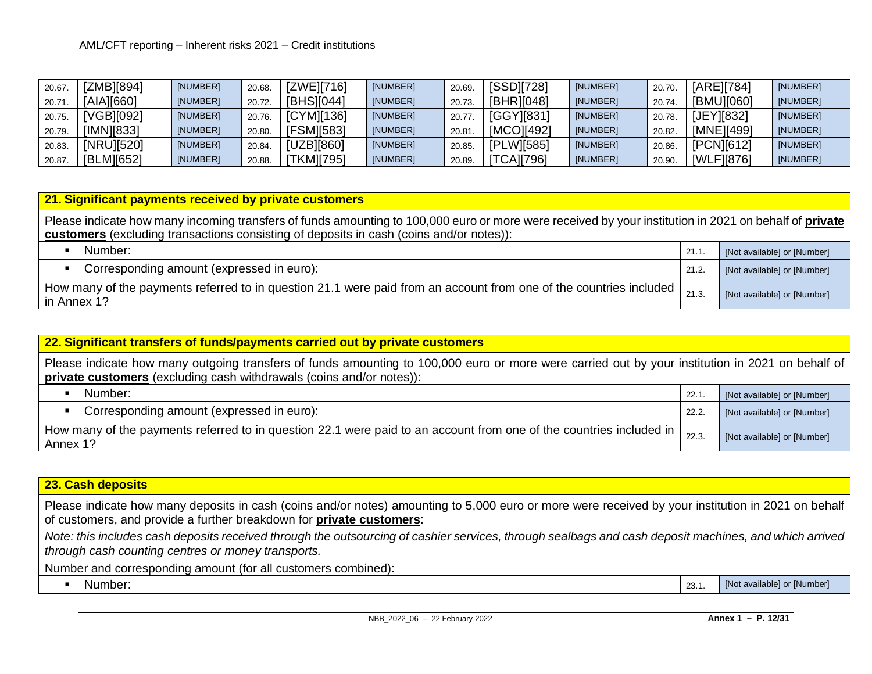| 20.67. | [ZMB][894] | [NUMBER] | 20.68. | [ZWE][716] | [NUMBER] | 20.69  | <b>ISSD17281</b> | [NUMBER] | 20.70. | [ARE][784] | [NUMBER] |
|--------|------------|----------|--------|------------|----------|--------|------------------|----------|--------|------------|----------|
| 20.71  | [AIA][660] | [NUMBER] | 20.72. | [BHS][044] | [NUMBER] | 20.73  | [BHR][048]       | [NUMBER] | 20.74. | [BMU][060] | [NUMBER] |
| 20.75. | [VGB][092] | [NUMBER] | 20.76. | [CYM][136] | [NUMBER] | 20.77  | [GGY][831]       | [NUMBER] | 20.78  | JEY][8321  | [NUMBER] |
| 20.79. | [IMN][833] | [NUMBER] | 20.80  | [FSM][583] | [NUMBER] | 20.81  | [MCO][492]       | [NUMBER] | 20.82. | [MNE][499] | [NUMBER] |
| 20.83. | [NRU][520] | [NUMBER] | 20.84. | [UZB][860] | [NUMBER] | 20.85  | [PLW][585]       | [NUMBER] | 20.86. | [PCN][612] | [NUMBER] |
| 20.87  | [BLM][652] | [NUMBER] | 20.88. | TKM][795]  | [NUMBER] | 20.89. | <b>TCA][796]</b> | [NUMBER] | 20.90  | [WLF][876] | [NUMBER] |

#### **21. Significant payments received by private customers**

Please indicate how many incoming transfers of funds amounting to 100,000 euro or more were received by your institution in 2021 on behalf of **private customers** (excluding transactions consisting of deposits in cash (coins and/or notes)):

| Number:                                                                                                                           | 21.7  | [Not available] or [Number] |
|-----------------------------------------------------------------------------------------------------------------------------------|-------|-----------------------------|
| Corresponding amount (expressed in euro):                                                                                         | 21.2. | [Not available] or [Number] |
| How many of the payments referred to in question 21.1 were paid from an account from one of the countries included<br>in Annex 1? |       | [Not available] or [Number] |

| 22. Significant transfers of funds/payments carried out by private customers                                                                                                                                             |       |                             |  |  |  |  |  |  |  |  |
|--------------------------------------------------------------------------------------------------------------------------------------------------------------------------------------------------------------------------|-------|-----------------------------|--|--|--|--|--|--|--|--|
| Please indicate how many outgoing transfers of funds amounting to 100,000 euro or more were carried out by your institution in 2021 on behalf of<br>private customers (excluding cash withdrawals (coins and/or notes)): |       |                             |  |  |  |  |  |  |  |  |
| Number:<br>$\blacksquare$                                                                                                                                                                                                | 22.1  | [Not available] or [Number] |  |  |  |  |  |  |  |  |
| Corresponding amount (expressed in euro):<br>$\blacksquare$                                                                                                                                                              | 22.2. | [Not available] or [Number] |  |  |  |  |  |  |  |  |
| How many of the payments referred to in question 22.1 were paid to an account from one of the countries included in  <br>Annex 1?                                                                                        | 22.3. | [Not available] or [Number] |  |  |  |  |  |  |  |  |

### **23. Cash deposits**

Please indicate how many deposits in cash (coins and/or notes) amounting to 5,000 euro or more were received by your institution in 2021 on behalf of customers, and provide a further breakdown for **private customers**:

*Note: this includes cash deposits received through the outsourcing of cashier services, through sealbags and cash deposit machines, and which arrived through cash counting centres or money transports.*

Number and corresponding amount (for all customers combined):

■ Number: 23.1. [Not available] or [Number] 23.1. [Not available] or [Number]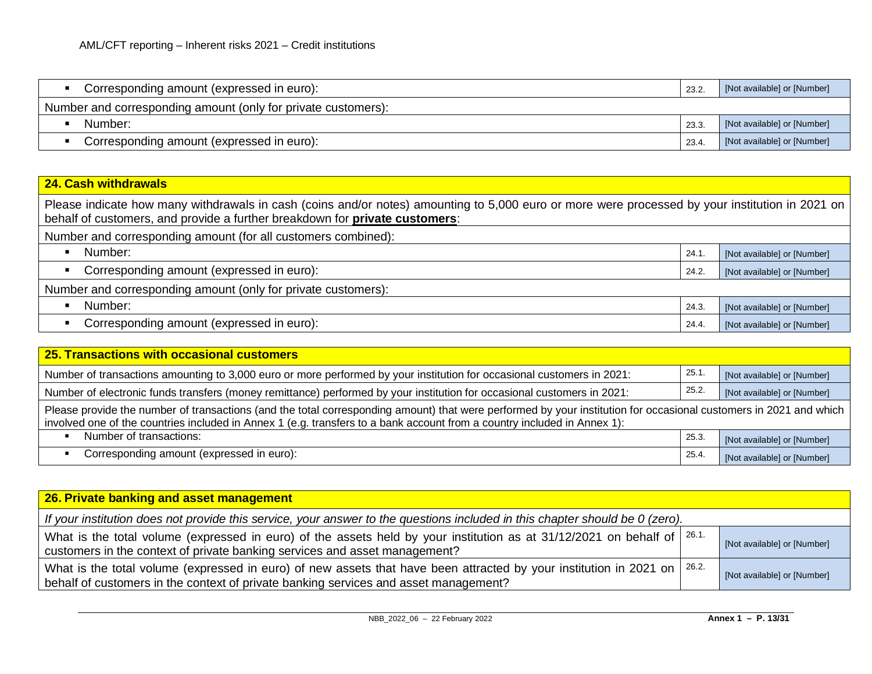| Corresponding amount (expressed in euro):                     | 23.2  | [Not available] or [Number] |
|---------------------------------------------------------------|-------|-----------------------------|
| Number and corresponding amount (only for private customers): |       |                             |
| Number:                                                       | 23.3  | [Not available] or [Number] |
| Corresponding amount (expressed in euro):                     | 23.4. | [Not available] or [Number] |

## **24. Cash withdrawals**

Please indicate how many withdrawals in cash (coins and/or notes) amounting to 5,000 euro or more were processed by your institution in 2021 on behalf of customers, and provide a further breakdown for **private customers**:

| Number and corresponding amount (for all customers combined): |       |                             |
|---------------------------------------------------------------|-------|-----------------------------|
| Number:                                                       | 24.1  | [Not available] or [Number] |
| Corresponding amount (expressed in euro):                     | 24.2. | [Not available] or [Number] |
| Number and corresponding amount (only for private customers): |       |                             |
| Number:                                                       | 24.3. | [Not available] or [Number] |
| Corresponding amount (expressed in euro):                     | 24.4. | [Not available] or [Number] |

| 25. Transactions with occasional customers                                                                                                                                                                                                                                                    |       |                             |  |
|-----------------------------------------------------------------------------------------------------------------------------------------------------------------------------------------------------------------------------------------------------------------------------------------------|-------|-----------------------------|--|
| Number of transactions amounting to 3,000 euro or more performed by your institution for occasional customers in 2021:                                                                                                                                                                        | 25.1  | [Not available] or [Number] |  |
| Number of electronic funds transfers (money remittance) performed by your institution for occasional customers in 2021:                                                                                                                                                                       | 25.2. | [Not available] or [Number] |  |
| Please provide the number of transactions (and the total corresponding amount) that were performed by your institution for occasional customers in 2021 and which<br>involved one of the countries included in Annex 1 (e.g. transfers to a bank account from a country included in Annex 1): |       |                             |  |
| Number of transactions:                                                                                                                                                                                                                                                                       | 25.3  | [Not available] or [Number] |  |
| Corresponding amount (expressed in euro):                                                                                                                                                                                                                                                     | 25.4. | [Not available] or [Number] |  |

| 26. Private banking and asset management                                                                                                                                                                           |                             |
|--------------------------------------------------------------------------------------------------------------------------------------------------------------------------------------------------------------------|-----------------------------|
| If your institution does not provide this service, your answer to the questions included in this chapter should be 0 (zero).                                                                                       |                             |
| What is the total volume (expressed in euro) of the assets held by your institution as at 31/12/2021 on behalf of $\vert$ 26.1.<br>customers in the context of private banking services and asset management?      | [Not available] or [Number] |
| What is the total volume (expressed in euro) of new assets that have been attracted by your institution in 2021 on   26.2.<br>behalf of customers in the context of private banking services and asset management? | [Not available] or [Number] |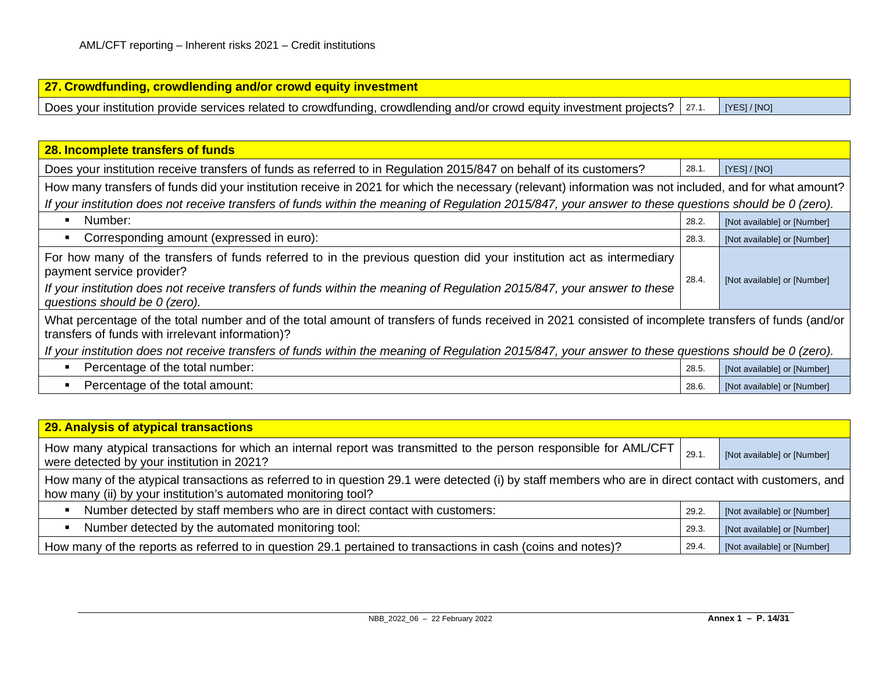| 27. Crowdfunding, crowdlending and/or crowd equity investment                                                                              |  |
|--------------------------------------------------------------------------------------------------------------------------------------------|--|
| Does your institution provide services related to crowdfunding, crowdlending and/or crowd equity investment projects?   27.1.   [YES]/[NO] |  |

| 28. Incomplete transfers of funds                                                                                                                                                                                                                                                                             |       |                             |  |
|---------------------------------------------------------------------------------------------------------------------------------------------------------------------------------------------------------------------------------------------------------------------------------------------------------------|-------|-----------------------------|--|
| Does your institution receive transfers of funds as referred to in Regulation 2015/847 on behalf of its customers?                                                                                                                                                                                            | 28.1. | [YES]/[NO]                  |  |
| How many transfers of funds did your institution receive in 2021 for which the necessary (relevant) information was not included, and for what amount?                                                                                                                                                        |       |                             |  |
| If your institution does not receive transfers of funds within the meaning of Regulation 2015/847, your answer to these questions should be 0 (zero).                                                                                                                                                         |       |                             |  |
| Number:                                                                                                                                                                                                                                                                                                       | 28.2. | [Not available] or [Number] |  |
| Corresponding amount (expressed in euro):                                                                                                                                                                                                                                                                     | 28.3. | [Not available] or [Number] |  |
| For how many of the transfers of funds referred to in the previous question did your institution act as intermediary<br>payment service provider?<br>If your institution does not receive transfers of funds within the meaning of Regulation 2015/847, your answer to these<br>questions should be 0 (zero). | 28.4. | [Not available] or [Number] |  |
| What percentage of the total number and of the total amount of transfers of funds received in 2021 consisted of incomplete transfers of funds (and/or<br>transfers of funds with irrelevant information)?                                                                                                     |       |                             |  |
| If your institution does not receive transfers of funds within the meaning of Regulation 2015/847, your answer to these questions should be 0 (zero).                                                                                                                                                         |       |                             |  |
| Percentage of the total number:                                                                                                                                                                                                                                                                               | 28.5. | [Not available] or [Number] |  |
| Percentage of the total amount:                                                                                                                                                                                                                                                                               | 28.6. | [Not available] or [Number] |  |

| <b>29. Analysis of atypical transactions</b>                                                                                                                                                                             |       |                             |  |
|--------------------------------------------------------------------------------------------------------------------------------------------------------------------------------------------------------------------------|-------|-----------------------------|--|
| How many atypical transactions for which an internal report was transmitted to the person responsible for AML/CFT<br>were detected by your institution in 2021?                                                          | 29.1  | [Not available] or [Number] |  |
| How many of the atypical transactions as referred to in question 29.1 were detected (i) by staff members who are in direct contact with customers, and<br>how many (ii) by your institution's automated monitoring tool? |       |                             |  |
| Number detected by staff members who are in direct contact with customers:<br>п                                                                                                                                          | 29.2. | [Not available] or [Number] |  |
| Number detected by the automated monitoring tool:<br>п                                                                                                                                                                   | 29.3. | [Not available] or [Number] |  |
| How many of the reports as referred to in question 29.1 pertained to transactions in cash (coins and notes)?                                                                                                             | 29.4. | [Not available] or [Number] |  |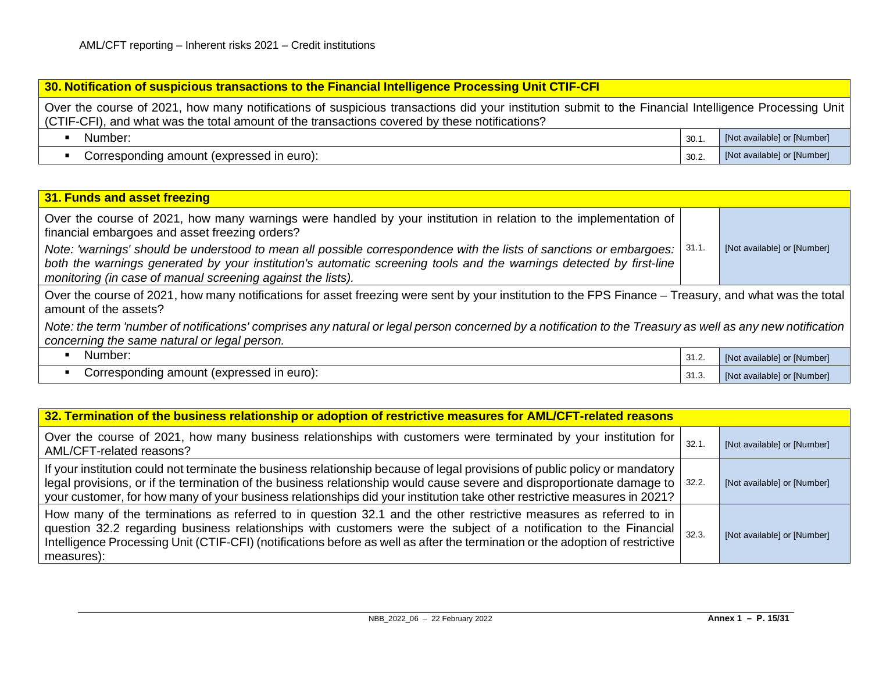#### **30. Notification of suspicious transactions to the Financial Intelligence Processing Unit CTIF-CFI**

Over the course of 2021, how many notifications of suspicious transactions did your institution submit to the Financial Intelligence Processing Unit (CTIF-CFI), and what was the total amount of the transactions covered by these notifications?

| Number:                                   | 30.1. | [Not available] or [Number] |
|-------------------------------------------|-------|-----------------------------|
| Corresponding amount (expressed in euro): | 30.2. | [Not available] or [Number] |

### **31. Funds and asset freezing** Over the course of 2021, how many warnings were handled by your institution in relation to the implementation of financial embargoes and asset freezing orders? *Note: 'warnings' should be understood to mean all possible correspondence with the lists of sanctions or embargoes: both the warnings generated by your institution's automatic screening tools and the warnings detected by first-line monitoring (in case of manual screening against the lists).* 31.1. [Not available] or [Number] Over the course of 2021, how many notifications for asset freezing were sent by your institution to the FPS Finance – Treasury, and what was the total amount of the assets? *Note: the term 'number of notifications' comprises any natural or legal person concerned by a notification to the Treasury as well as any new notification concerning the same natural or legal person.* ■ Number: 31.2. [Not available] or [Number] ■ Corresponding amount (expressed in euro): 31.3. [Not available] or [Number]

| 32. Termination of the business relationship or adoption of restrictive measures for AML/CFT-related reasons                                                                                                                                                                                                                                                                              |       |                             |  |
|-------------------------------------------------------------------------------------------------------------------------------------------------------------------------------------------------------------------------------------------------------------------------------------------------------------------------------------------------------------------------------------------|-------|-----------------------------|--|
| Over the course of 2021, how many business relationships with customers were terminated by your institution for<br>AML/CFT-related reasons?                                                                                                                                                                                                                                               | 32.1. | [Not available] or [Number] |  |
| If your institution could not terminate the business relationship because of legal provisions of public policy or mandatory<br>legal provisions, or if the termination of the business relationship would cause severe and disproportionate damage to   32.2.<br>your customer, for how many of your business relationships did your institution take other restrictive measures in 2021? |       | [Not available] or [Number] |  |
| How many of the terminations as referred to in question 32.1 and the other restrictive measures as referred to in<br>question 32.2 regarding business relationships with customers were the subject of a notification to the Financial<br>Intelligence Processing Unit (CTIF-CFI) (notifications before as well as after the termination or the adoption of restrictive  <br>measures):   | 32.3. | [Not available] or [Number] |  |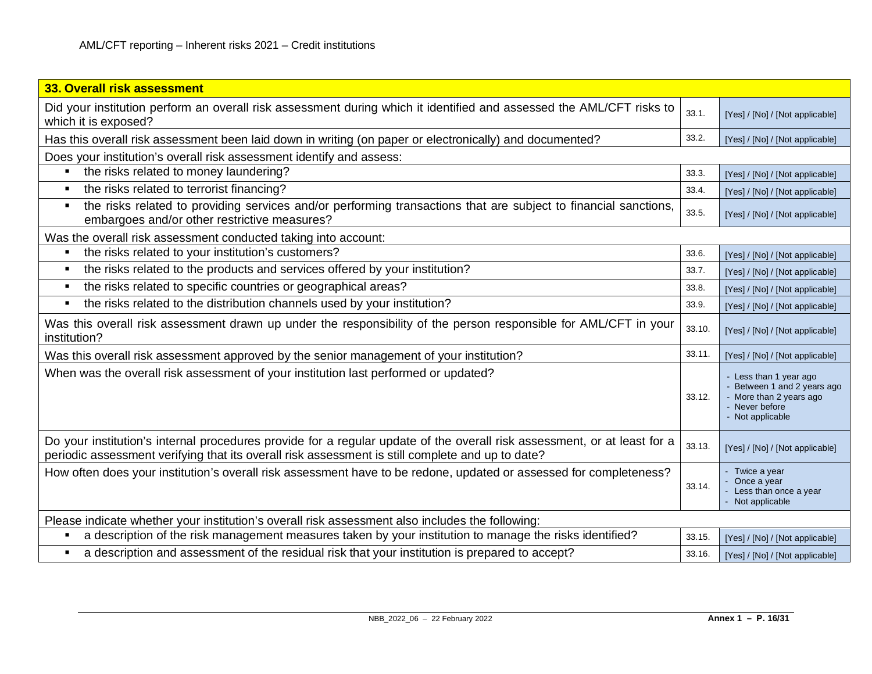| 33. Overall risk assessment                                                                                                                                                                                                  |        |                                                                                                                      |  |
|------------------------------------------------------------------------------------------------------------------------------------------------------------------------------------------------------------------------------|--------|----------------------------------------------------------------------------------------------------------------------|--|
| Did your institution perform an overall risk assessment during which it identified and assessed the AML/CFT risks to<br>which it is exposed?                                                                                 | 33.1.  | [Yes] / [No] / [Not applicable]                                                                                      |  |
| Has this overall risk assessment been laid down in writing (on paper or electronically) and documented?                                                                                                                      | 33.2.  | [Yes] / [No] / [Not applicable]                                                                                      |  |
| Does your institution's overall risk assessment identify and assess:                                                                                                                                                         |        |                                                                                                                      |  |
| the risks related to money laundering?                                                                                                                                                                                       | 33.3.  | [Yes] / [No] / [Not applicable]                                                                                      |  |
| the risks related to terrorist financing?<br>л                                                                                                                                                                               | 33.4.  | [Yes] / [No] / [Not applicable]                                                                                      |  |
| the risks related to providing services and/or performing transactions that are subject to financial sanctions,<br>л<br>embargoes and/or other restrictive measures?                                                         | 33.5.  | [Yes] / [No] / [Not applicable]                                                                                      |  |
| Was the overall risk assessment conducted taking into account:                                                                                                                                                               |        |                                                                                                                      |  |
| the risks related to your institution's customers?                                                                                                                                                                           | 33.6.  | [Yes] / [No] / [Not applicable]                                                                                      |  |
| the risks related to the products and services offered by your institution?                                                                                                                                                  | 33.7.  | [Yes] / [No] / [Not applicable]                                                                                      |  |
| the risks related to specific countries or geographical areas?<br>л                                                                                                                                                          | 33.8.  | [Yes] / [No] / [Not applicable]                                                                                      |  |
| the risks related to the distribution channels used by your institution?<br>٠                                                                                                                                                | 33.9.  | [Yes] / [No] / [Not applicable]                                                                                      |  |
| Was this overall risk assessment drawn up under the responsibility of the person responsible for AML/CFT in your<br>institution?                                                                                             | 33.10. | [Yes] / [No] / [Not applicable]                                                                                      |  |
| Was this overall risk assessment approved by the senior management of your institution?                                                                                                                                      | 33.11. | [Yes] / [No] / [Not applicable]                                                                                      |  |
| When was the overall risk assessment of your institution last performed or updated?                                                                                                                                          | 33.12. | - Less than 1 year ago<br>Between 1 and 2 years ago<br>- More than 2 years ago<br>- Never before<br>- Not applicable |  |
| Do your institution's internal procedures provide for a regular update of the overall risk assessment, or at least for a<br>periodic assessment verifying that its overall risk assessment is still complete and up to date? | 33.13. | [Yes] / [No] / [Not applicable]                                                                                      |  |
| How often does your institution's overall risk assessment have to be redone, updated or assessed for completeness?                                                                                                           | 33.14. | - Twice a year<br>Once a year<br>- Less than once a year<br>- Not applicable                                         |  |
| Please indicate whether your institution's overall risk assessment also includes the following:                                                                                                                              |        |                                                                                                                      |  |
| a description of the risk management measures taken by your institution to manage the risks identified?                                                                                                                      | 33.15. | [Yes] / [No] / [Not applicable]                                                                                      |  |
| a description and assessment of the residual risk that your institution is prepared to accept?                                                                                                                               | 33.16. | [Yes] / [No] / [Not applicable]                                                                                      |  |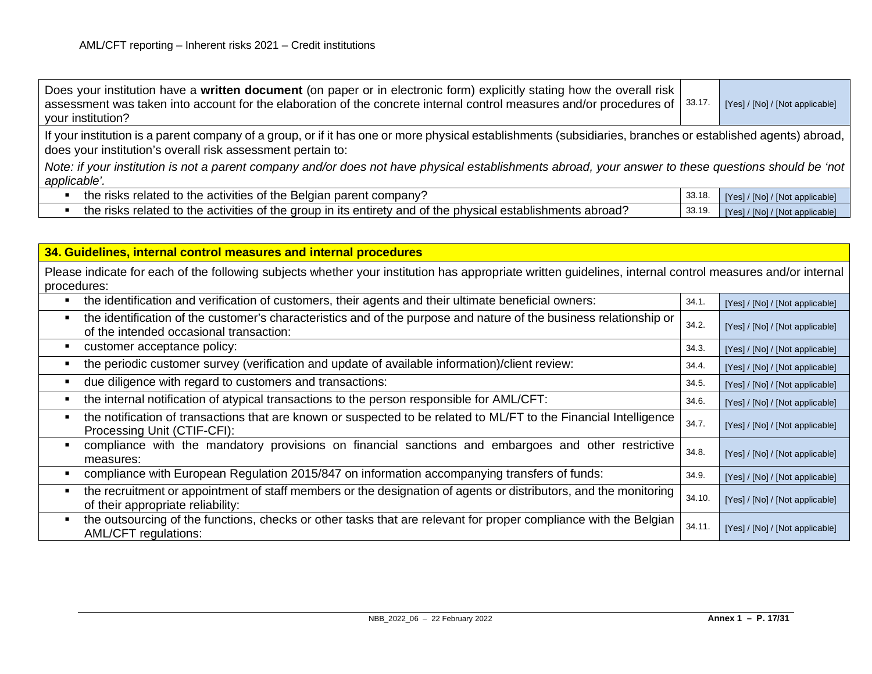| Does your institution have a written document (on paper or in electronic form) explicitly stating how the overall risk<br>assessment was taken into account for the elaboration of the concrete internal control measures and/or procedures of $\vert$ 33.17.<br>your institution? |        | [Yes] / [No] / [Not applicable] |  |  |
|------------------------------------------------------------------------------------------------------------------------------------------------------------------------------------------------------------------------------------------------------------------------------------|--------|---------------------------------|--|--|
| If your institution is a parent company of a group, or if it has one or more physical establishments (subsidiaries, branches or established agents) abroad,  <br>does your institution's overall risk assessment pertain to:                                                       |        |                                 |  |  |
| Note: if your institution is not a parent company and/or does not have physical establishments abroad, your answer to these questions should be 'not  <br>applicable'.                                                                                                             |        |                                 |  |  |
| the risks related to the activities of the Belgian parent company?                                                                                                                                                                                                                 | 33.18. | [Yes] / [No] / [Not applicable] |  |  |
| the risks related to the activities of the group in its entirety and of the physical establishments abroad?                                                                                                                                                                        | 33.19. | [Yes] / [No] / [Not applicable] |  |  |

| 34. Guidelines, internal control measures and internal procedures                                                                                                        |        |                                 |
|--------------------------------------------------------------------------------------------------------------------------------------------------------------------------|--------|---------------------------------|
| Please indicate for each of the following subjects whether your institution has appropriate written guidelines, internal control measures and/or internal<br>procedures: |        |                                 |
| the identification and verification of customers, their agents and their ultimate beneficial owners:                                                                     | 34.1.  | [Yes] / [No] / [Not applicable] |
| the identification of the customer's characteristics and of the purpose and nature of the business relationship or<br>of the intended occasional transaction:            | 34.2.  | [Yes] / [No] / [Not applicable] |
| customer acceptance policy:<br>٠                                                                                                                                         | 34.3.  | [Yes] / [No] / [Not applicable] |
| the periodic customer survey (verification and update of available information)/client review:                                                                           | 34.4.  | [Yes] / [No] / [Not applicable] |
| due diligence with regard to customers and transactions:                                                                                                                 | 34.5.  | [Yes] / [No] / [Not applicable] |
| the internal notification of atypical transactions to the person responsible for AML/CFT:                                                                                | 34.6.  | [Yes] / [No] / [Not applicable] |
| the notification of transactions that are known or suspected to be related to ML/FT to the Financial Intelligence<br>Processing Unit (CTIF-CFI):                         | 34.7.  | [Yes] / [No] / [Not applicable] |
| compliance with the mandatory provisions on financial sanctions and embargoes and other restrictive<br>measures:                                                         | 34.8.  | [Yes] / [No] / [Not applicable] |
| compliance with European Regulation 2015/847 on information accompanying transfers of funds:                                                                             | 34.9.  | [Yes] / [No] / [Not applicable] |
| the recruitment or appointment of staff members or the designation of agents or distributors, and the monitoring<br>of their appropriate reliability:                    | 34.10. | [Yes] / [No] / [Not applicable] |
| the outsourcing of the functions, checks or other tasks that are relevant for proper compliance with the Belgian<br>AML/CFT regulations:                                 | 34.11. | [Yes] / [No] / [Not applicable] |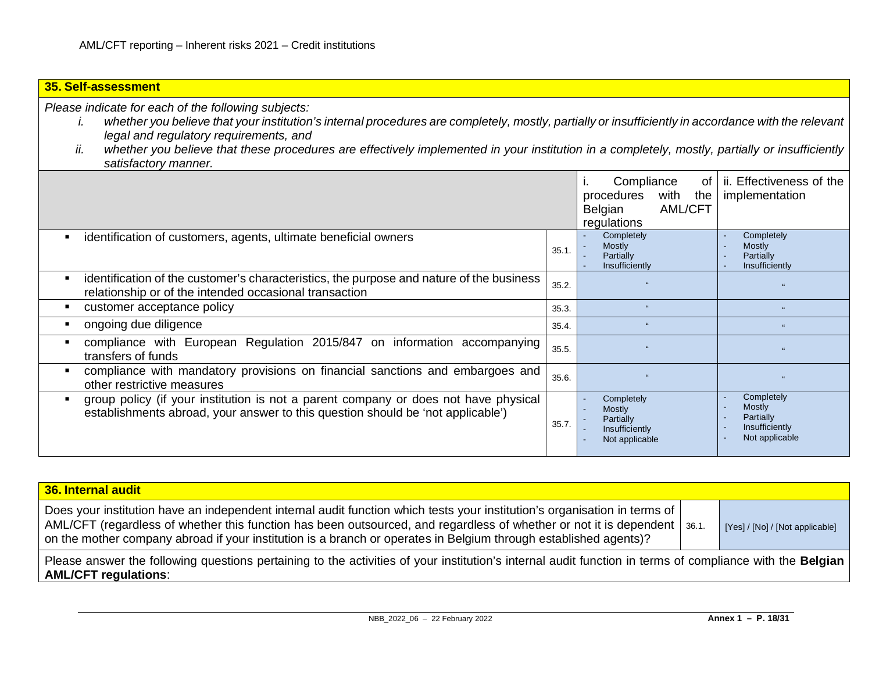# **35. Self-assessment** *Please indicate for each of the following subjects:*

- *i. whether you believe that your institution's internal procedures are completely, mostly, partially or insufficiently in accordance with the relevant legal and regulatory requirements, and*
- *ii. whether you believe that these procedures are effectively implemented in your institution in a completely, mostly, partially or insufficiently satisfactory manner.*

|                                                                                                                                                                        |       | Compliance<br>of<br>with<br>procedures<br>the<br><b>AML/CFT</b><br>Belgian<br>regulations | ii. Effectiveness of the<br>implementation                            |
|------------------------------------------------------------------------------------------------------------------------------------------------------------------------|-------|-------------------------------------------------------------------------------------------|-----------------------------------------------------------------------|
| identification of customers, agents, ultimate beneficial owners                                                                                                        | 35.1  | Completely<br>Mostly<br>Partially<br>Insufficiently                                       | Completely<br>Mostly<br>Partially<br>Insufficiently                   |
| identification of the customer's characteristics, the purpose and nature of the business<br>relationship or of the intended occasional transaction                     | 35.2. |                                                                                           |                                                                       |
| customer acceptance policy                                                                                                                                             | 35.3. | $\epsilon$                                                                                |                                                                       |
| ongoing due diligence                                                                                                                                                  | 35.4. | $\epsilon$                                                                                | $\alpha$                                                              |
| compliance with European Regulation 2015/847 on information accompanying<br>transfers of funds                                                                         | 35.5. |                                                                                           | 66                                                                    |
| compliance with mandatory provisions on financial sanctions and embargoes and<br>other restrictive measures                                                            | 35.6. |                                                                                           |                                                                       |
| group policy (if your institution is not a parent company or does not have physical<br>establishments abroad, your answer to this question should be 'not applicable') | 35.7. | Completely<br><b>Mostly</b><br>Partially<br>$\sim$<br>Insufficiently<br>Not applicable    | Completely<br>Mostly<br>Partially<br>Insufficiently<br>Not applicable |

| 36. Internal audit                                                                                                                                                                                                                                                                                                                                                          |                                 |
|-----------------------------------------------------------------------------------------------------------------------------------------------------------------------------------------------------------------------------------------------------------------------------------------------------------------------------------------------------------------------------|---------------------------------|
| Does your institution have an independent internal audit function which tests your institution's organisation in terms of<br>AML/CFT (regardless of whether this function has been outsourced, and regardless of whether or not it is dependent   36.1.<br>on the mother company abroad if your institution is a branch or operates in Belgium through established agents)? | [Yes] / [No] / [Not applicable] |
| Please answer the following questions pertaining to the activities of your institution's internal audit function in terms of compliance with the Belgian<br><b>AML/CFT regulations:</b>                                                                                                                                                                                     |                                 |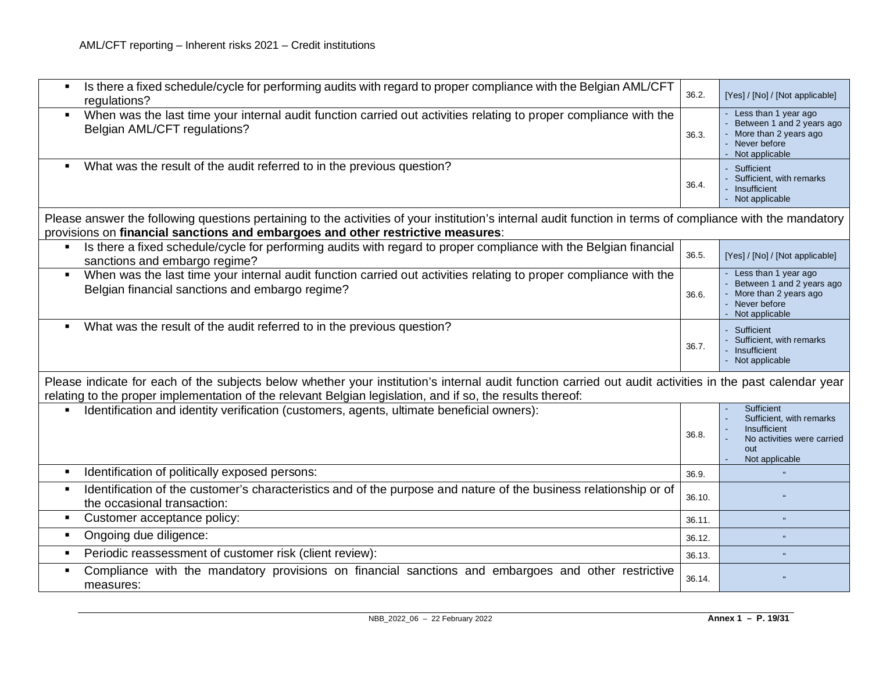| Is there a fixed schedule/cycle for performing audits with regard to proper compliance with the Belgian AML/CFT<br>regulations?                                                                                                                                        | 36.2.  | [Yes] / [No] / [Not applicable]                                                                               |
|------------------------------------------------------------------------------------------------------------------------------------------------------------------------------------------------------------------------------------------------------------------------|--------|---------------------------------------------------------------------------------------------------------------|
| When was the last time your internal audit function carried out activities relating to proper compliance with the<br>Belgian AML/CFT regulations?                                                                                                                      | 36.3.  | Less than 1 year ago<br>Between 1 and 2 years ago<br>More than 2 years ago<br>Never before<br>Not applicable  |
| What was the result of the audit referred to in the previous question?                                                                                                                                                                                                 | 36.4.  | Sufficient<br>Sufficient, with remarks<br>Insufficient<br>Not applicable                                      |
| Please answer the following questions pertaining to the activities of your institution's internal audit function in terms of compliance with the mandatory<br>provisions on financial sanctions and embargoes and other restrictive measures:                          |        |                                                                                                               |
| Is there a fixed schedule/cycle for performing audits with regard to proper compliance with the Belgian financial<br>sanctions and embargo regime?                                                                                                                     | 36.5.  | [Yes] / [No] / [Not applicable]                                                                               |
| When was the last time your internal audit function carried out activities relating to proper compliance with the<br>$\blacksquare$<br>Belgian financial sanctions and embargo regime?                                                                                 | 36.6.  | Less than 1 year ago<br>Between 1 and 2 years ago<br>More than 2 years ago<br>Never before<br>Not applicable  |
| What was the result of the audit referred to in the previous question?                                                                                                                                                                                                 | 36.7.  | Sufficient<br>Sufficient, with remarks<br>Insufficient<br>Not applicable                                      |
| Please indicate for each of the subjects below whether your institution's internal audit function carried out audit activities in the past calendar year<br>relating to the proper implementation of the relevant Belgian legislation, and if so, the results thereof: |        |                                                                                                               |
| Identification and identity verification (customers, agents, ultimate beneficial owners):                                                                                                                                                                              | 36.8.  | Sufficient<br>Sufficient, with remarks<br>Insufficient<br>No activities were carried<br>out<br>Not applicable |
| Identification of politically exposed persons:<br>$\blacksquare$                                                                                                                                                                                                       | 36.9.  |                                                                                                               |
| Identification of the customer's characteristics and of the purpose and nature of the business relationship or of<br>the occasional transaction:                                                                                                                       | 36.10. |                                                                                                               |
| Customer acceptance policy:<br>$\blacksquare$                                                                                                                                                                                                                          | 36.11. | $\alpha$                                                                                                      |
| Ongoing due diligence:<br>$\blacksquare$                                                                                                                                                                                                                               | 36.12. |                                                                                                               |
| Periodic reassessment of customer risk (client review):<br>$\blacksquare$                                                                                                                                                                                              | 36.13. |                                                                                                               |
| Compliance with the mandatory provisions on financial sanctions and embargoes and other restrictive<br>measures:                                                                                                                                                       | 36.14. |                                                                                                               |
|                                                                                                                                                                                                                                                                        |        |                                                                                                               |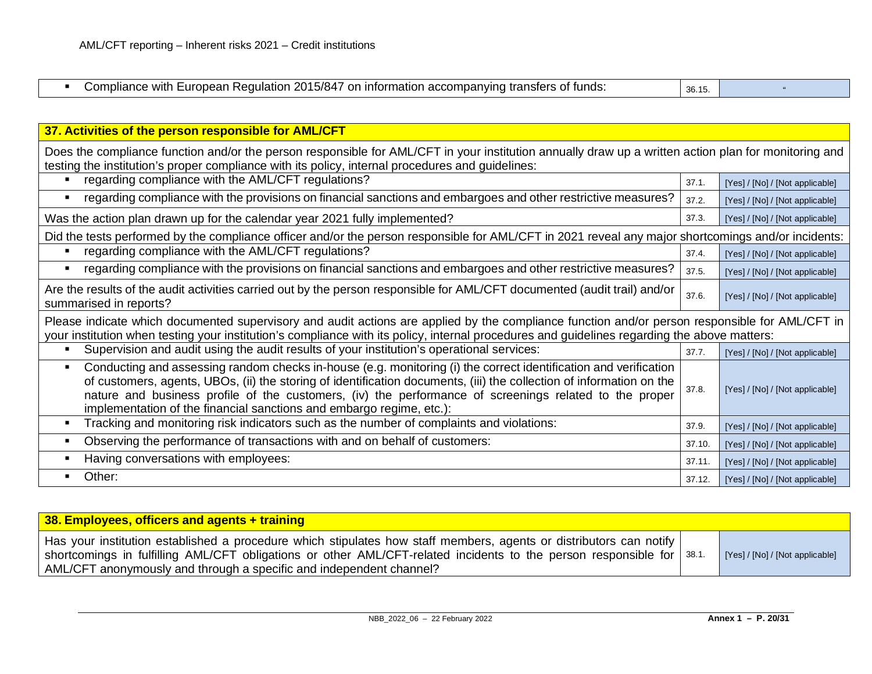| $\sim$ 10 $\prime$ $\sim$<br>ົດດລ<br>witr<br>ure<br>Requiati<br>מי<br>-inforn<br>. .<br>5/84<br>παιινι<br>והור<br>.<br>,,,,<br><i>c</i> iv<br>- 191193.<br>.<br><b>11</b><br><u>., .</u><br>. .<br>.<br>20 L | 001<br>$\sim$<br><b>JU.IJ.</b> |  |
|--------------------------------------------------------------------------------------------------------------------------------------------------------------------------------------------------------------|--------------------------------|--|

| 37. Activities of the person responsible for AML/CFT                                                                                                                                                                                                                                                                                                                                                                                         |        |                                 |  |
|----------------------------------------------------------------------------------------------------------------------------------------------------------------------------------------------------------------------------------------------------------------------------------------------------------------------------------------------------------------------------------------------------------------------------------------------|--------|---------------------------------|--|
| Does the compliance function and/or the person responsible for AML/CFT in your institution annually draw up a written action plan for monitoring and<br>testing the institution's proper compliance with its policy, internal procedures and guidelines:                                                                                                                                                                                     |        |                                 |  |
| regarding compliance with the AML/CFT regulations?                                                                                                                                                                                                                                                                                                                                                                                           | 37.1.  | [Yes] / [No] / [Not applicable] |  |
| regarding compliance with the provisions on financial sanctions and embargoes and other restrictive measures?<br>п                                                                                                                                                                                                                                                                                                                           | 37.2.  | [Yes] / [No] / [Not applicable] |  |
| Was the action plan drawn up for the calendar year 2021 fully implemented?                                                                                                                                                                                                                                                                                                                                                                   | 37.3.  | [Yes] / [No] / [Not applicable] |  |
| Did the tests performed by the compliance officer and/or the person responsible for AML/CFT in 2021 reveal any major shortcomings and/or incidents:                                                                                                                                                                                                                                                                                          |        |                                 |  |
| regarding compliance with the AML/CFT regulations?<br>п                                                                                                                                                                                                                                                                                                                                                                                      | 37.4.  | [Yes] / [No] / [Not applicable] |  |
| regarding compliance with the provisions on financial sanctions and embargoes and other restrictive measures?<br>п                                                                                                                                                                                                                                                                                                                           | 37.5.  | [Yes] / [No] / [Not applicable] |  |
| Are the results of the audit activities carried out by the person responsible for AML/CFT documented (audit trail) and/or<br>summarised in reports?                                                                                                                                                                                                                                                                                          | 37.6.  | [Yes] / [No] / [Not applicable] |  |
| Please indicate which documented supervisory and audit actions are applied by the compliance function and/or person responsible for AML/CFT in<br>your institution when testing your institution's compliance with its policy, internal procedures and guidelines regarding the above matters:                                                                                                                                               |        |                                 |  |
| Supervision and audit using the audit results of your institution's operational services:<br>п                                                                                                                                                                                                                                                                                                                                               | 37.7.  | [Yes] / [No] / [Not applicable] |  |
| Conducting and assessing random checks in-house (e.g. monitoring (i) the correct identification and verification<br>$\blacksquare$<br>of customers, agents, UBOs, (ii) the storing of identification documents, (iii) the collection of information on the<br>nature and business profile of the customers, (iv) the performance of screenings related to the proper<br>implementation of the financial sanctions and embargo regime, etc.): | 37.8.  | [Yes] / [No] / [Not applicable] |  |
| Tracking and monitoring risk indicators such as the number of complaints and violations:<br>$\blacksquare$                                                                                                                                                                                                                                                                                                                                   | 37.9.  | [Yes] / [No] / [Not applicable] |  |
| Observing the performance of transactions with and on behalf of customers:<br>$\blacksquare$                                                                                                                                                                                                                                                                                                                                                 | 37.10. | [Yes] / [No] / [Not applicable] |  |
| Having conversations with employees:                                                                                                                                                                                                                                                                                                                                                                                                         | 37.11. | [Yes] / [No] / [Not applicable] |  |
| Other:                                                                                                                                                                                                                                                                                                                                                                                                                                       | 37.12. | [Yes] / [No] / [Not applicable] |  |

| 38. Employees, officers and agents + training                                                                                                                                                                                                                                                                                 |                                 |
|-------------------------------------------------------------------------------------------------------------------------------------------------------------------------------------------------------------------------------------------------------------------------------------------------------------------------------|---------------------------------|
| Has your institution established a procedure which stipulates how staff members, agents or distributors can notify<br>shortcomings in fulfilling AML/CFT obligations or other AML/CFT-related incidents to the person responsible for $\frac{38.1}{2}$<br>AML/CFT anonymously and through a specific and independent channel? | [Yes] / [No] / [Not applicable] |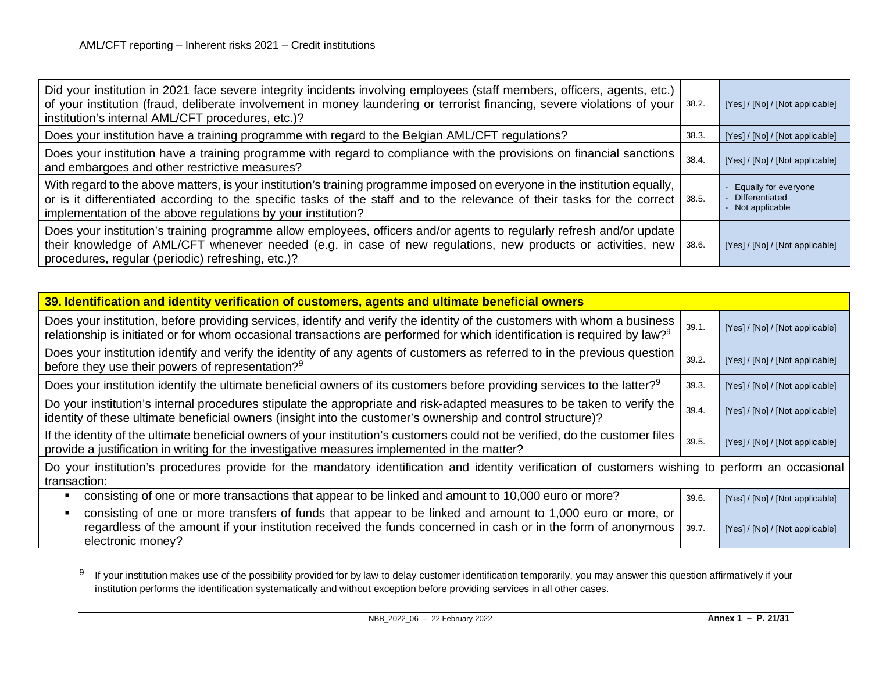<span id="page-20-0"></span>

| Did your institution in 2021 face severe integrity incidents involving employees (staff members, officers, agents, etc.)<br>of your institution (fraud, deliberate involvement in money laundering or terrorist financing, severe violations of your<br>institution's internal AML/CFT procedures, etc.)?              | 38.2. | [Yes] / [No] / [Not applicable]                            |
|------------------------------------------------------------------------------------------------------------------------------------------------------------------------------------------------------------------------------------------------------------------------------------------------------------------------|-------|------------------------------------------------------------|
| Does your institution have a training programme with regard to the Belgian AML/CFT regulations?                                                                                                                                                                                                                        | 38.3. | [Yes] / [No] / [Not applicable]                            |
| Does your institution have a training programme with regard to compliance with the provisions on financial sanctions<br>and embargoes and other restrictive measures?                                                                                                                                                  | 38.4. | [Yes] / [No] / [Not applicable]                            |
| With regard to the above matters, is your institution's training programme imposed on everyone in the institution equally,<br>or is it differentiated according to the specific tasks of the staff and to the relevance of their tasks for the correct<br>implementation of the above regulations by your institution? | 38.5. | Equally for everyone<br>Differentiated<br>- Not applicable |
| Does your institution's training programme allow employees, officers and/or agents to regularly refresh and/or update<br>their knowledge of AML/CFT whenever needed (e.g. in case of new regulations, new products or activities, new<br>procedures, regular (periodic) refreshing, etc.)?                             | 38.6. | [Yes] / [No] / [Not applicable]                            |

| 39. Identification and identity verification of customers, agents and ultimate beneficial owners                                                                                                                                                                  |       |                                 |  |
|-------------------------------------------------------------------------------------------------------------------------------------------------------------------------------------------------------------------------------------------------------------------|-------|---------------------------------|--|
| Does your institution, before providing services, identify and verify the identity of the customers with whom a business<br>relationship is initiated or for whom occasional transactions are performed for which identification is required by law? <sup>9</sup> | 39.1. | [Yes] / [No] / [Not applicable] |  |
| Does your institution identify and verify the identity of any agents of customers as referred to in the previous question<br>before they use their powers of representation? <sup>9</sup>                                                                         | 39.2. | [Yes] / [No] / [Not applicable] |  |
| Does your institution identify the ultimate beneficial owners of its customers before providing services to the latter? <sup>9</sup>                                                                                                                              | 39.3. | [Yes] / [No] / [Not applicable] |  |
| Do your institution's internal procedures stipulate the appropriate and risk-adapted measures to be taken to verify the<br>identity of these ultimate beneficial owners (insight into the customer's ownership and control structure)?                            | 39.4. | [Yes] / [No] / [Not applicable] |  |
| If the identity of the ultimate beneficial owners of your institution's customers could not be verified, do the customer files<br>provide a justification in writing for the investigative measures implemented in the matter?                                    | 39.5. | [Yes] / [No] / [Not applicable] |  |
| Do your institution's procedures provide for the mandatory identification and identity verification of customers wishing to perform an occasional<br>transaction:                                                                                                 |       |                                 |  |
| consisting of one or more transactions that appear to be linked and amount to 10,000 euro or more?                                                                                                                                                                | 39.6. | [Yes] / [No] / [Not applicable] |  |
| consisting of one or more transfers of funds that appear to be linked and amount to 1,000 euro or more, or<br>regardless of the amount if your institution received the funds concerned in cash or in the form of anonymous<br>electronic money?                  | 39.7. | [Yes] / [No] / [Not applicable] |  |

 $9$  If your institution makes use of the possibility provided for by law to delay customer identification temporarily, you may answer this question affirmatively if your institution performs the identification systematically and without exception before providing services in all other cases.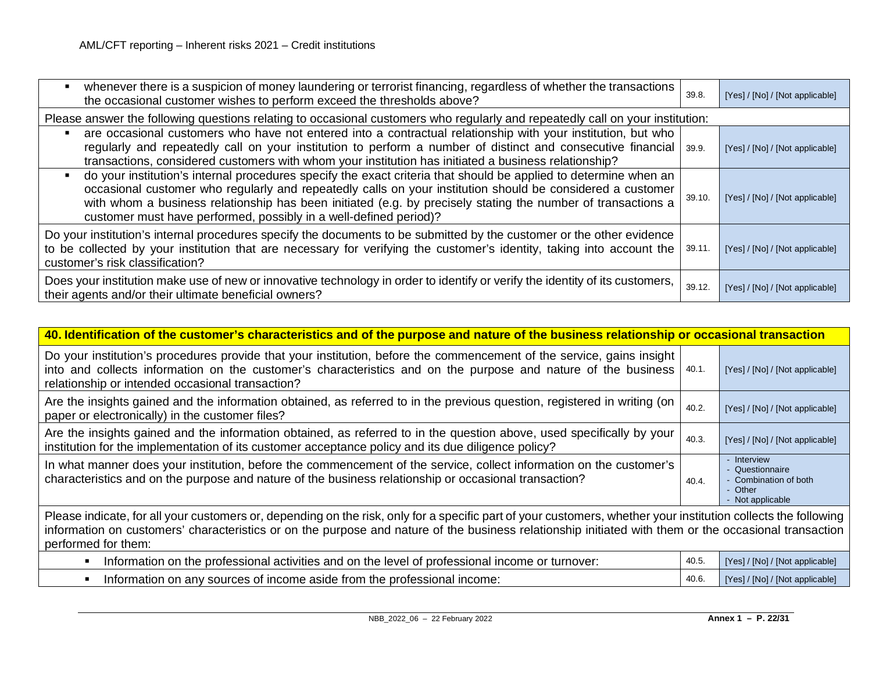| whenever there is a suspicion of money laundering or terrorist financing, regardless of whether the transactions<br>the occasional customer wishes to perform exceed the thresholds above?                                                                                                                                                                                                                                            | 39.8.  | [Yes] / [No] / [Not applicable] |
|---------------------------------------------------------------------------------------------------------------------------------------------------------------------------------------------------------------------------------------------------------------------------------------------------------------------------------------------------------------------------------------------------------------------------------------|--------|---------------------------------|
| Please answer the following questions relating to occasional customers who regularly and repeatedly call on your institution:                                                                                                                                                                                                                                                                                                         |        |                                 |
| are occasional customers who have not entered into a contractual relationship with your institution, but who<br>regularly and repeatedly call on your institution to perform a number of distinct and consecutive financial<br>transactions, considered customers with whom your institution has initiated a business relationship?                                                                                                   | 39.9.  | [Yes] / [No] / [Not applicable] |
| do your institution's internal procedures specify the exact criteria that should be applied to determine when an<br>$\blacksquare$<br>occasional customer who regularly and repeatedly calls on your institution should be considered a customer<br>with whom a business relationship has been initiated (e.g. by precisely stating the number of transactions a<br>customer must have performed, possibly in a well-defined period)? | 39.10. | [Yes] / [No] / [Not applicable] |
| Do your institution's internal procedures specify the documents to be submitted by the customer or the other evidence<br>to be collected by your institution that are necessary for verifying the customer's identity, taking into account the<br>customer's risk classification?                                                                                                                                                     | 39.11. | [Yes] / [No] / [Not applicable] |
| Does your institution make use of new or innovative technology in order to identify or verify the identity of its customers,<br>their agents and/or their ultimate beneficial owners?                                                                                                                                                                                                                                                 | 39.12. | [Yes] / [No] / [Not applicable] |

| 40. Identification of the customer's characteristics and of the purpose and nature of the business relationship or occasional transaction                                                                                                                                                                                                      |       |                                                                                    |
|------------------------------------------------------------------------------------------------------------------------------------------------------------------------------------------------------------------------------------------------------------------------------------------------------------------------------------------------|-------|------------------------------------------------------------------------------------|
| Do your institution's procedures provide that your institution, before the commencement of the service, gains insight  <br>into and collects information on the customer's characteristics and on the purpose and nature of the business  <br>relationship or intended occasional transaction?                                                 | 40.1. | [Yes] / [No] / [Not applicable]                                                    |
| Are the insights gained and the information obtained, as referred to in the previous question, registered in writing (on  <br>paper or electronically) in the customer files?                                                                                                                                                                  | 40.2. | [Yes] / [No] / [Not applicable]                                                    |
| Are the insights gained and the information obtained, as referred to in the question above, used specifically by your<br>institution for the implementation of its customer acceptance policy and its due diligence policy?                                                                                                                    | 40.3. | [Yes] / [No] / [Not applicable]                                                    |
| In what manner does your institution, before the commencement of the service, collect information on the customer's<br>characteristics and on the purpose and nature of the business relationship or occasional transaction?                                                                                                                   | 40.4. | - Interview<br>Questionnaire<br>Combination of both<br>- Other<br>- Not applicable |
| Please indicate, for all your customers or, depending on the risk, only for a specific part of your customers, whether your institution collects the following<br>information on customers' characteristics or on the purpose and nature of the business relationship initiated with them or the occasional transaction<br>performed for them: |       |                                                                                    |

| Information on the professional activities and on the level of professional income or turnover: | [Yes] / [No] / [Not applicable] |
|-------------------------------------------------------------------------------------------------|---------------------------------|
| Information on any sources of income aside from the professional income:                        | [Yes] / [No] / [Not applicable] |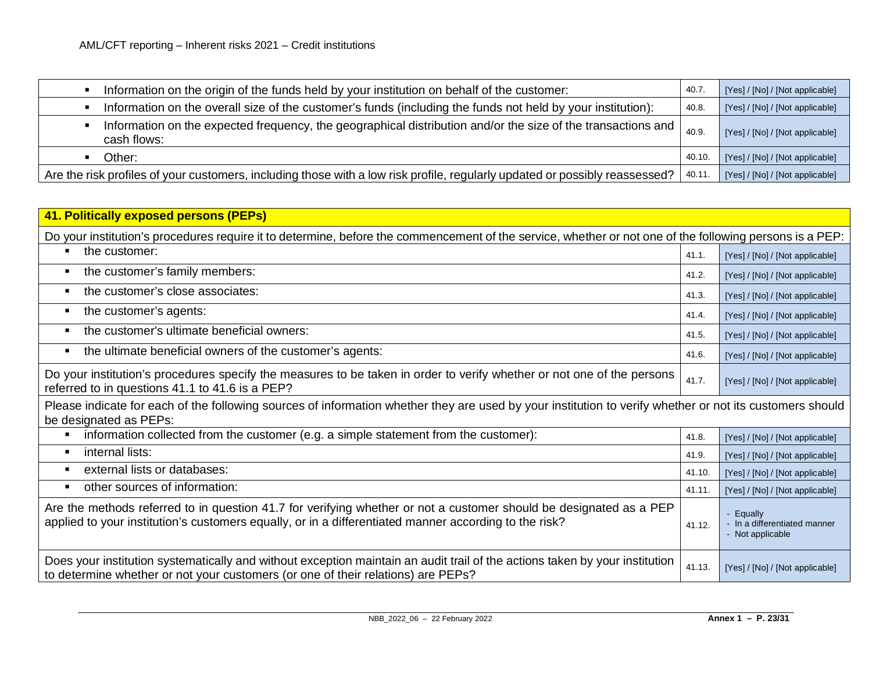| Information on the origin of the funds held by your institution on behalf of the customer:                                    | 40.7   | [Yes] / [No] / [Not applicable] |
|-------------------------------------------------------------------------------------------------------------------------------|--------|---------------------------------|
| Information on the overall size of the customer's funds (including the funds not held by your institution):                   | 40.8.  | [Yes] / [No] / [Not applicable] |
| Information on the expected frequency, the geographical distribution and/or the size of the transactions and  <br>cash flows: | 40.9   | [Yes] / [No] / [Not applicable] |
| Other:                                                                                                                        | 40.10. | [Yes] / [No] / [Not applicable] |
| Are the risk profiles of your customers, including those with a low risk profile, regularly updated or possibly reassessed?   | 40.11  | [Yes] / [No] / [Not applicable] |

| 41. Politically exposed persons (PEPs)                                                                                                                                                                                      |        |                                                             |
|-----------------------------------------------------------------------------------------------------------------------------------------------------------------------------------------------------------------------------|--------|-------------------------------------------------------------|
| Do your institution's procedures require it to determine, before the commencement of the service, whether or not one of the following persons is a PEP:                                                                     |        |                                                             |
| the customer:<br>$\blacksquare$                                                                                                                                                                                             | 41.1.  | [Yes] / [No] / [Not applicable]                             |
| the customer's family members:<br>П                                                                                                                                                                                         | 41.2.  | [Yes] / [No] / [Not applicable]                             |
| the customer's close associates:<br>П                                                                                                                                                                                       | 41.3.  | [Yes] / [No] / [Not applicable]                             |
| the customer's agents:<br>П                                                                                                                                                                                                 | 41.4.  | [Yes] / [No] / [Not applicable]                             |
| the customer's ultimate beneficial owners:<br>$\blacksquare$                                                                                                                                                                | 41.5.  | [Yes] / [No] / [Not applicable]                             |
| the ultimate beneficial owners of the customer's agents:<br>$\blacksquare$                                                                                                                                                  | 41.6.  | [Yes] / [No] / [Not applicable]                             |
| Do your institution's procedures specify the measures to be taken in order to verify whether or not one of the persons<br>referred to in questions 41.1 to 41.6 is a PEP?                                                   | 41.7.  | [Yes] / [No] / [Not applicable]                             |
| Please indicate for each of the following sources of information whether they are used by your institution to verify whether or not its customers should<br>be designated as PEPs:                                          |        |                                                             |
| information collected from the customer (e.g. a simple statement from the customer):<br>$\blacksquare$                                                                                                                      | 41.8.  | [Yes] / [No] / [Not applicable]                             |
| internal lists:<br>$\blacksquare$                                                                                                                                                                                           | 41.9.  | [Yes] / [No] / [Not applicable]                             |
| external lists or databases:<br>$\blacksquare$                                                                                                                                                                              | 41.10. | [Yes] / [No] / [Not applicable]                             |
| other sources of information:<br>П                                                                                                                                                                                          | 41.11. | [Yes] / [No] / [Not applicable]                             |
| Are the methods referred to in question 41.7 for verifying whether or not a customer should be designated as a PEP<br>applied to your institution's customers equally, or in a differentiated manner according to the risk? | 41.12. | Equally<br>- In a differentiated manner<br>- Not applicable |
| Does your institution systematically and without exception maintain an audit trail of the actions taken by your institution<br>to determine whether or not your customers (or one of their relations) are PEPs?             | 41.13. | [Yes] / [No] / [Not applicable]                             |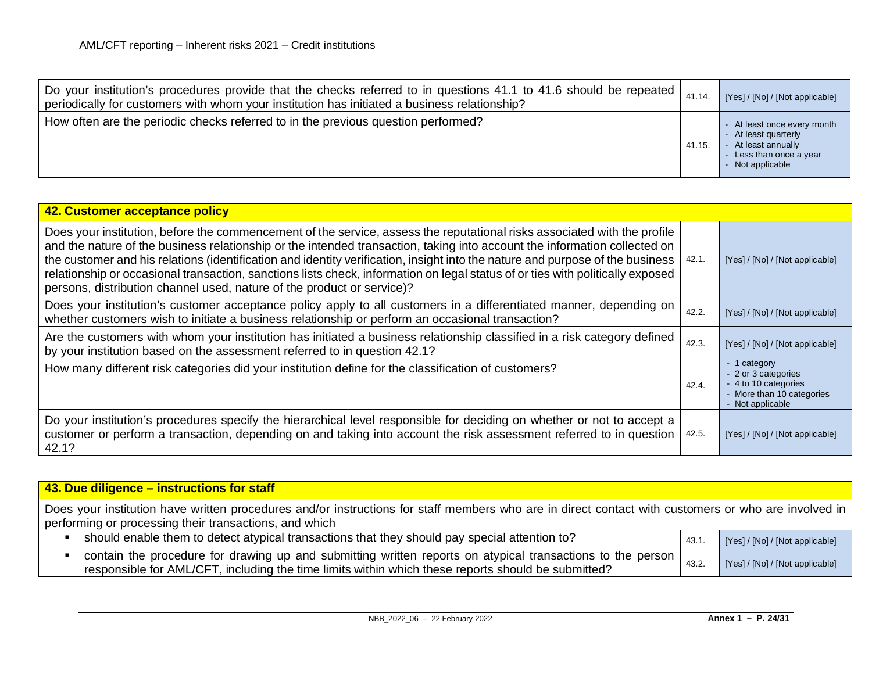| Do your institution's procedures provide that the checks referred to in questions 41.1 to 41.6 should be repeated  <br>periodically for customers with whom your institution has initiated a business relationship? | 41.14. | [Yes] / [No] / [Not applicable]                                                                                         |
|---------------------------------------------------------------------------------------------------------------------------------------------------------------------------------------------------------------------|--------|-------------------------------------------------------------------------------------------------------------------------|
| How often are the periodic checks referred to in the previous question performed?                                                                                                                                   | 41.15  | - At least once every month<br>- At least quarterly<br>At least annually<br>- Less than once a year<br>- Not applicable |

| 42. Customer acceptance policy                                                                                                                                                                                                                                                                                                                                                                                                                                                                                                                                                                       |       |                                                                                                              |
|------------------------------------------------------------------------------------------------------------------------------------------------------------------------------------------------------------------------------------------------------------------------------------------------------------------------------------------------------------------------------------------------------------------------------------------------------------------------------------------------------------------------------------------------------------------------------------------------------|-------|--------------------------------------------------------------------------------------------------------------|
| Does your institution, before the commencement of the service, assess the reputational risks associated with the profile<br>and the nature of the business relationship or the intended transaction, taking into account the information collected on<br>the customer and his relations (identification and identity verification, insight into the nature and purpose of the business  <br>relationship or occasional transaction, sanctions lists check, information on legal status of or ties with politically exposed<br>persons, distribution channel used, nature of the product or service)? | 42.1. | [Yes] / [No] / [Not applicable]                                                                              |
| Does your institution's customer acceptance policy apply to all customers in a differentiated manner, depending on<br>whether customers wish to initiate a business relationship or perform an occasional transaction?                                                                                                                                                                                                                                                                                                                                                                               | 42.2. | [Yes] / [No] / [Not applicable]                                                                              |
| Are the customers with whom your institution has initiated a business relationship classified in a risk category defined<br>by your institution based on the assessment referred to in question 42.1?                                                                                                                                                                                                                                                                                                                                                                                                | 42.3. | [Yes] / [No] / [Not applicable]                                                                              |
| How many different risk categories did your institution define for the classification of customers?                                                                                                                                                                                                                                                                                                                                                                                                                                                                                                  | 42.4. | - 1 category<br>- 2 or 3 categories<br>- 4 to 10 categories<br>- More than 10 categories<br>- Not applicable |
| Do your institution's procedures specify the hierarchical level responsible for deciding on whether or not to accept a<br>customer or perform a transaction, depending on and taking into account the risk assessment referred to in question<br>42.1?                                                                                                                                                                                                                                                                                                                                               | 42.5. | [Yes] / [No] / [Not applicable]                                                                              |

| 43. Due diligence – instructions for staff                                                                                                                                                                         |       |                                 |
|--------------------------------------------------------------------------------------------------------------------------------------------------------------------------------------------------------------------|-------|---------------------------------|
| Does your institution have written procedures and/or instructions for staff members who are in direct contact with customers or who are involved in<br>performing or processing their transactions, and which      |       |                                 |
| should enable them to detect atypical transactions that they should pay special attention to?                                                                                                                      | 43.1  | [Yes] / [No] / [Not applicable] |
| contain the procedure for drawing up and submitting written reports on atypical transactions to the person  <br>responsible for AML/CFT, including the time limits within which these reports should be submitted? | 43.2. | [Yes] / [No] / [Not applicable] |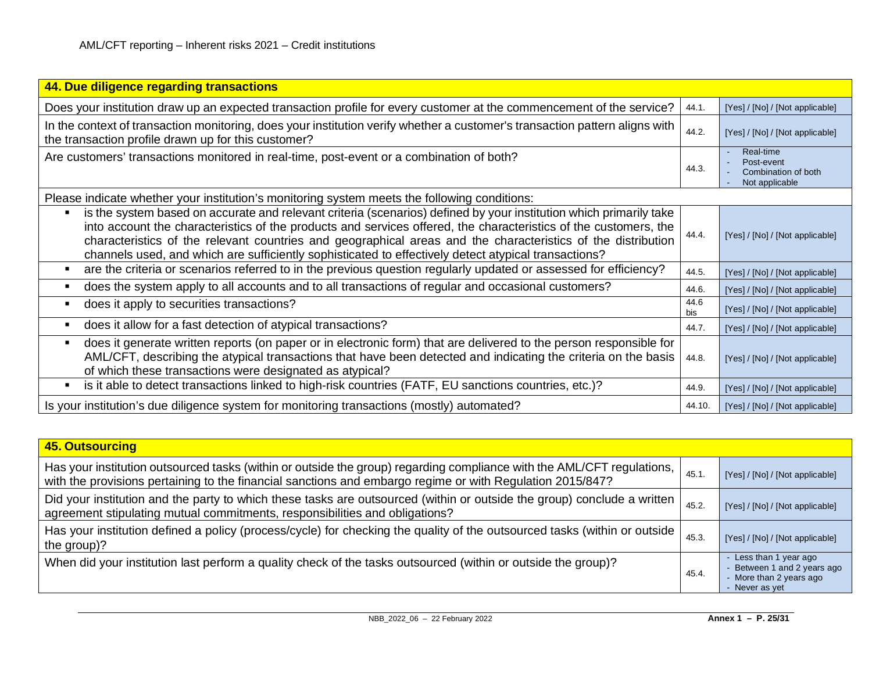| 44. Due diligence regarding transactions                                                                                                                                                                                                                                                                                                                                                                                                                            |             |                                                                  |
|---------------------------------------------------------------------------------------------------------------------------------------------------------------------------------------------------------------------------------------------------------------------------------------------------------------------------------------------------------------------------------------------------------------------------------------------------------------------|-------------|------------------------------------------------------------------|
| Does your institution draw up an expected transaction profile for every customer at the commencement of the service?                                                                                                                                                                                                                                                                                                                                                | 44.1.       | [Yes] / [No] / [Not applicable]                                  |
| In the context of transaction monitoring, does your institution verify whether a customer's transaction pattern aligns with<br>the transaction profile drawn up for this customer?                                                                                                                                                                                                                                                                                  | 44.2.       | [Yes] / [No] / [Not applicable]                                  |
| Are customers' transactions monitored in real-time, post-event or a combination of both?                                                                                                                                                                                                                                                                                                                                                                            | 44.3.       | Real-time<br>Post-event<br>Combination of both<br>Not applicable |
| Please indicate whether your institution's monitoring system meets the following conditions:                                                                                                                                                                                                                                                                                                                                                                        |             |                                                                  |
| is the system based on accurate and relevant criteria (scenarios) defined by your institution which primarily take<br>п<br>into account the characteristics of the products and services offered, the characteristics of the customers, the<br>characteristics of the relevant countries and geographical areas and the characteristics of the distribution<br>channels used, and which are sufficiently sophisticated to effectively detect atypical transactions? | 44.4.       | [Yes] / [No] / [Not applicable]                                  |
| are the criteria or scenarios referred to in the previous question regularly updated or assessed for efficiency?<br>п                                                                                                                                                                                                                                                                                                                                               | 44.5.       | [Yes] / [No] / [Not applicable]                                  |
| does the system apply to all accounts and to all transactions of regular and occasional customers?                                                                                                                                                                                                                                                                                                                                                                  | 44.6.       | [Yes] / [No] / [Not applicable]                                  |
| does it apply to securities transactions?                                                                                                                                                                                                                                                                                                                                                                                                                           | 44.6<br>bis | [Yes] / [No] / [Not applicable]                                  |
| does it allow for a fast detection of atypical transactions?                                                                                                                                                                                                                                                                                                                                                                                                        | 44.7.       | [Yes] / [No] / [Not applicable]                                  |
| does it generate written reports (on paper or in electronic form) that are delivered to the person responsible for<br>AML/CFT, describing the atypical transactions that have been detected and indicating the criteria on the basis<br>of which these transactions were designated as atypical?                                                                                                                                                                    | 44.8.       | [Yes] / [No] / [Not applicable]                                  |
| is it able to detect transactions linked to high-risk countries (FATF, EU sanctions countries, etc.)?<br>п                                                                                                                                                                                                                                                                                                                                                          | 44.9.       | [Yes] / [No] / [Not applicable]                                  |
| Is your institution's due diligence system for monitoring transactions (mostly) automated?                                                                                                                                                                                                                                                                                                                                                                          | 44.10.      | [Yes] / [No] / [Not applicable]                                  |

| 45. Outsourcing                                                                                                                                                                                                                     |       |                                                                                                  |
|-------------------------------------------------------------------------------------------------------------------------------------------------------------------------------------------------------------------------------------|-------|--------------------------------------------------------------------------------------------------|
| Has your institution outsourced tasks (within or outside the group) regarding compliance with the AML/CFT regulations,<br>with the provisions pertaining to the financial sanctions and embargo regime or with Regulation 2015/847? | 45.1  | [Yes] / [No] / [Not applicable]                                                                  |
| Did your institution and the party to which these tasks are outsourced (within or outside the group) conclude a written<br>agreement stipulating mutual commitments, responsibilities and obligations?                              | 45.2. | [Yes] / [No] / [Not applicable]                                                                  |
| Has your institution defined a policy (process/cycle) for checking the quality of the outsourced tasks (within or outside  <br>the group)?                                                                                          | 45.3. | [Yes] / [No] / [Not applicable]                                                                  |
| When did your institution last perform a quality check of the tasks outsourced (within or outside the group)?                                                                                                                       | 45.4  | Less than 1 year ago<br>- Between 1 and 2 years ago<br>- More than 2 years ago<br>- Never as yet |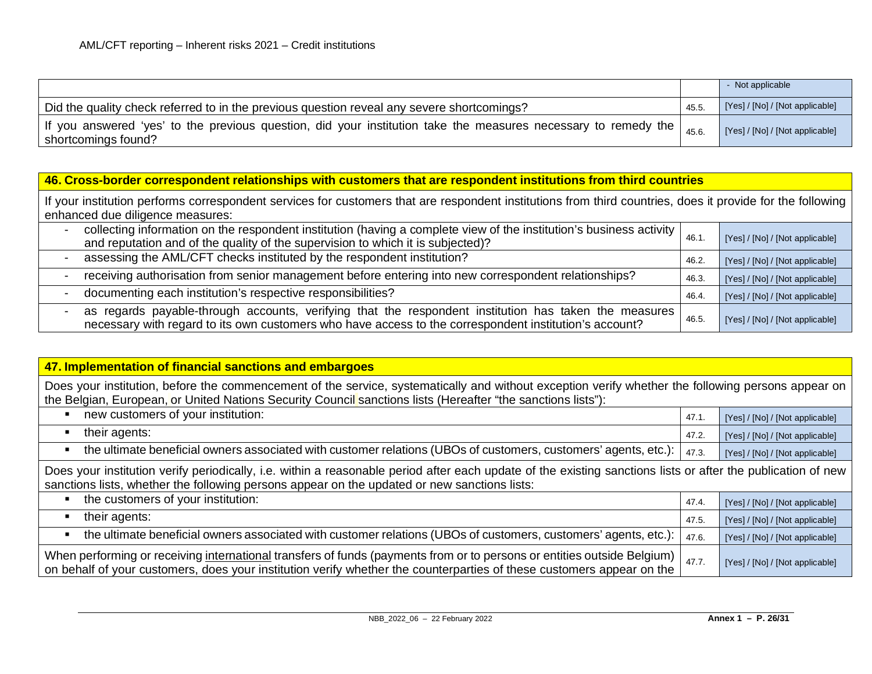|                                                                                                                                       |       | - Not applicable                |
|---------------------------------------------------------------------------------------------------------------------------------------|-------|---------------------------------|
| Did the quality check referred to in the previous question reveal any severe shortcomings?                                            | 45.5. | [Yes] / [No] / [Not applicable] |
| If you answered 'yes' to the previous question, did your institution take the measures necessary to remedy the<br>shortcomings found? | 45.6  | [Yes] / [No] / [Not applicable] |

#### **46. Cross-border correspondent relationships with customers that are respondent institutions from third countries**

If your institution performs correspondent services for customers that are respondent institutions from third countries, does it provide for the following enhanced due diligence measures:

| collecting information on the respondent institution (having a complete view of the institution's business activity<br>and reputation and of the quality of the supervision to which it is subjected)?          | 46.1  | [Yes] / [No] / [Not applicable] |
|-----------------------------------------------------------------------------------------------------------------------------------------------------------------------------------------------------------------|-------|---------------------------------|
| assessing the AML/CFT checks instituted by the respondent institution?                                                                                                                                          | 46.2. | [Yes] / [No] / [Not applicable] |
| receiving authorisation from senior management before entering into new correspondent relationships?                                                                                                            | 46.3  | [Yes] / [No] / [Not applicable] |
| documenting each institution's respective responsibilities?                                                                                                                                                     | 46.4. | [Yes] / [No] / [Not applicable] |
| as regards payable-through accounts, verifying that the respondent institution has taken the measures<br>necessary with regard to its own customers who have access to the correspondent institution's account? | 46.5. | [Yes] / [No] / [Not applicable] |

## **47. Implementation of financial sanctions and embargoes** Does your institution, before the commencement of the service, systematically and without exception verify whether the following persons appear on the Belgian, European, or United Nations Security Council sanctions lists (Hereafter "the sanctions lists"): new customers of your institution: 47.1. [Yes] / [No] / [Not applicable] ■ their agents:  $\frac{1}{2}$  [Yes] / [No] / [Not applicable] • the ultimate beneficial owners associated with customer relations (UBOs of customers, customers' agents, etc.):  $\left| \right.$  47.3.  $\left| \right|$  [Yes] / [No] / [Not applicable] Does your institution verify periodically, i.e. within a reasonable period after each update of the existing sanctions lists or after the publication of new sanctions lists, whether the following persons appear on the updated or new sanctions lists: the customers of your institution: 47.4. [Yes] / [No] / [Not applicable] their agents: 47.5. [Yes] / [No] / [Not applicable] • the ultimate beneficial owners associated with customer relations (UBOs of customers, customers' agents, etc.):  $\frac{1}{47.6}$ When performing or receiving international transfers of funds (payments from or to persons or entities outside Belgium) on behalf of your customers, does your institution verify whether the counterparties of these customers appear on the  $\frac{47.7}{47.7}$  [Yes] / [Not applicable]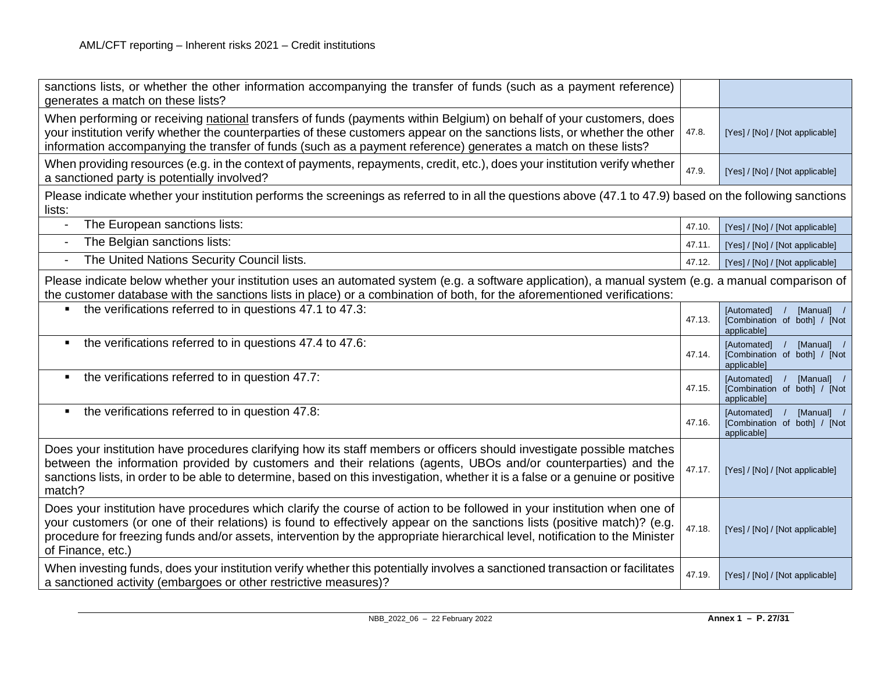| sanctions lists, or whether the other information accompanying the transfer of funds (such as a payment reference)<br>generates a match on these lists?                                                                                                                                                                                                                                                  |        |                                                                            |
|----------------------------------------------------------------------------------------------------------------------------------------------------------------------------------------------------------------------------------------------------------------------------------------------------------------------------------------------------------------------------------------------------------|--------|----------------------------------------------------------------------------|
| When performing or receiving national transfers of funds (payments within Belgium) on behalf of your customers, does<br>your institution verify whether the counterparties of these customers appear on the sanctions lists, or whether the other<br>information accompanying the transfer of funds (such as a payment reference) generates a match on these lists?                                      | 47.8.  | [Yes] / [No] / [Not applicable]                                            |
| When providing resources (e.g. in the context of payments, repayments, credit, etc.), does your institution verify whether<br>a sanctioned party is potentially involved?                                                                                                                                                                                                                                | 47.9.  | [Yes] / [No] / [Not applicable]                                            |
| Please indicate whether your institution performs the screenings as referred to in all the questions above (47.1 to 47.9) based on the following sanctions<br>lists:                                                                                                                                                                                                                                     |        |                                                                            |
| The European sanctions lists:<br>$\blacksquare$                                                                                                                                                                                                                                                                                                                                                          | 47.10. | [Yes] / [No] / [Not applicable]                                            |
| The Belgian sanctions lists:<br>$\overline{\phantom{a}}$                                                                                                                                                                                                                                                                                                                                                 | 47.11. | [Yes] / [No] / [Not applicable]                                            |
| The United Nations Security Council lists.<br>$\overline{\phantom{a}}$                                                                                                                                                                                                                                                                                                                                   | 47.12. | [Yes] / [No] / [Not applicable]                                            |
| Please indicate below whether your institution uses an automated system (e.g. a software application), a manual system (e.g. a manual comparison of<br>the customer database with the sanctions lists in place) or a combination of both, for the aforementioned verifications:                                                                                                                          |        |                                                                            |
| the verifications referred to in questions 47.1 to 47.3:                                                                                                                                                                                                                                                                                                                                                 | 47.13. | [Automated] /<br>[Manual] /<br>[Combination of both] / [Not<br>applicable] |
| the verifications referred to in questions 47.4 to 47.6:<br>$\blacksquare$                                                                                                                                                                                                                                                                                                                               | 47.14. | [Automated] /<br>[Manual] /<br>[Combination of both] / [Not<br>applicable] |
| the verifications referred to in question 47.7:<br>٠                                                                                                                                                                                                                                                                                                                                                     | 47.15. | [Automated] /<br>[Manual] /<br>[Combination of both] / [Not<br>applicable] |
| the verifications referred to in question 47.8:<br>٠                                                                                                                                                                                                                                                                                                                                                     | 47.16. | [Automated] /<br>[Manual] /<br>[Combination of both] / [Not<br>applicable] |
| Does your institution have procedures clarifying how its staff members or officers should investigate possible matches<br>between the information provided by customers and their relations (agents, UBOs and/or counterparties) and the<br>sanctions lists, in order to be able to determine, based on this investigation, whether it is a false or a genuine or positive<br>match?                     | 47.17. | [Yes] / [No] / [Not applicable]                                            |
| Does your institution have procedures which clarify the course of action to be followed in your institution when one of<br>your customers (or one of their relations) is found to effectively appear on the sanctions lists (positive match)? (e.g.<br>procedure for freezing funds and/or assets, intervention by the appropriate hierarchical level, notification to the Minister<br>of Finance, etc.) | 47.18. | [Yes] / [No] / [Not applicable]                                            |
| When investing funds, does your institution verify whether this potentially involves a sanctioned transaction or facilitates<br>a sanctioned activity (embargoes or other restrictive measures)?                                                                                                                                                                                                         | 47.19. | [Yes] / [No] / [Not applicable]                                            |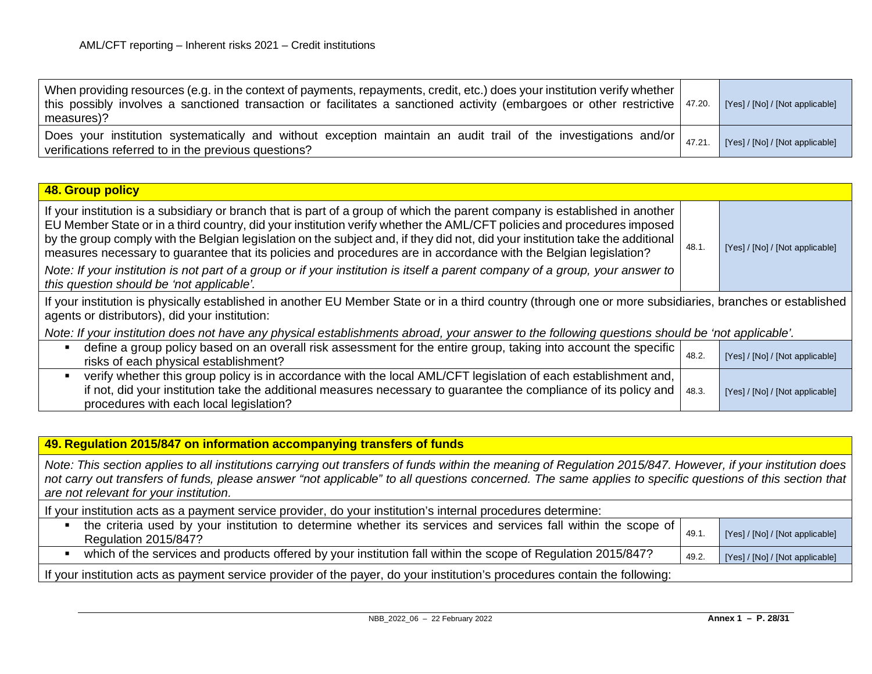| When providing resources (e.g. in the context of payments, repayments, credit, etc.) does your institution verify whether<br>this possibly involves a sanctioned transaction or facilitates a sanctioned activity (embargoes or other restrictive $47.20$<br>measures)? | [Yes] / [No] / [Not applicable] |
|-------------------------------------------------------------------------------------------------------------------------------------------------------------------------------------------------------------------------------------------------------------------------|---------------------------------|
| $\sqrt{10}$ Does your institution systematically and without exception maintain an audit trail of the investigations and/or $\frac{1}{47.21}$<br>verifications referred to in the previous questions?                                                                   | [Yes] / [No] / [Not applicable] |

| 48. Group policy                                                                                                                                                                                                                                                                                                                                                                                                                                                                                                                                                                                                                                                                            |      |                                 |
|---------------------------------------------------------------------------------------------------------------------------------------------------------------------------------------------------------------------------------------------------------------------------------------------------------------------------------------------------------------------------------------------------------------------------------------------------------------------------------------------------------------------------------------------------------------------------------------------------------------------------------------------------------------------------------------------|------|---------------------------------|
| If your institution is a subsidiary or branch that is part of a group of which the parent company is established in another<br>EU Member State or in a third country, did your institution verify whether the AML/CFT policies and procedures imposed<br>by the group comply with the Belgian legislation on the subject and, if they did not, did your institution take the additional<br>measures necessary to guarantee that its policies and procedures are in accordance with the Belgian legislation?<br>Note: If your institution is not part of a group or if your institution is itself a parent company of a group, your answer to  <br>this question should be 'not applicable'. | 48.1 | [Yes] / [No] / [Not applicable] |

If your institution is physically established in another EU Member State or in a third country (through one or more subsidiaries, branches or established agents or distributors), did your institution:

*Note: If your institution does not have any physical establishments abroad, your answer to the following questions should be 'not applicable'.* 

| define a group policy based on an overall risk assessment for the entire group, taking into account the specific  <br>risks of each physical establishment?                                                                                                                                   | 48.2 | [Yes] / [No] / [Not applicable] |
|-----------------------------------------------------------------------------------------------------------------------------------------------------------------------------------------------------------------------------------------------------------------------------------------------|------|---------------------------------|
| verify whether this group policy is in accordance with the local AML/CFT legislation of each establishment and,<br>if not, did your institution take the additional measures necessary to guarantee the compliance of its policy and $\vert$ 48.3.<br>procedures with each local legislation? |      | [Yes] / [No] / [Not applicable] |

| 49. Regulation 2015/847 on information accompanying transfers of funds                                                                                                                                                                                                                                                                                              |       |                                 |  |  |
|---------------------------------------------------------------------------------------------------------------------------------------------------------------------------------------------------------------------------------------------------------------------------------------------------------------------------------------------------------------------|-------|---------------------------------|--|--|
| Note: This section applies to all institutions carrying out transfers of funds within the meaning of Regulation 2015/847. However, if your institution does<br>not carry out transfers of funds, please answer "not applicable" to all questions concerned. The same applies to specific questions of this section that  <br>are not relevant for your institution. |       |                                 |  |  |
| If your institution acts as a payment service provider, do your institution's internal procedures determine:                                                                                                                                                                                                                                                        |       |                                 |  |  |
| the criteria used by your institution to determine whether its services and services fall within the scope of<br>Regulation 2015/847?                                                                                                                                                                                                                               | 49.1  | [Yes] / [No] / [Not applicable] |  |  |
| which of the services and products offered by your institution fall within the scope of Regulation 2015/847?                                                                                                                                                                                                                                                        | 49.2. | [Yes] / [No] / [Not applicable] |  |  |
| If your institution acts as payment service provider of the payer, do your institution's procedures contain the following:                                                                                                                                                                                                                                          |       |                                 |  |  |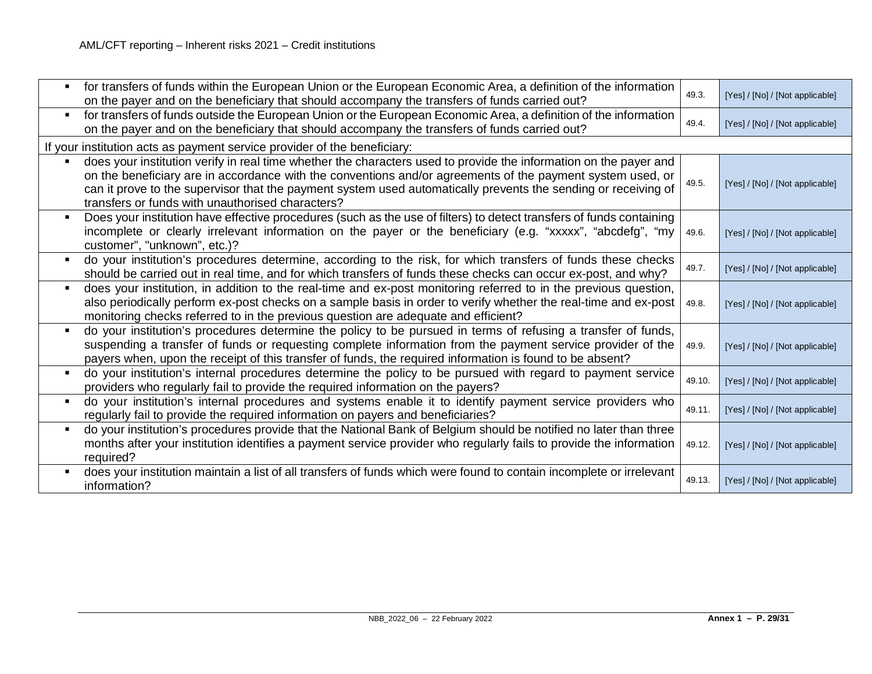|                | for transfers of funds within the European Union or the European Economic Area, a definition of the information<br>on the payer and on the beneficiary that should accompany the transfers of funds carried out?                                                                                                                                                                                      | 49.3.  | [Yes] / [No] / [Not applicable] |
|----------------|-------------------------------------------------------------------------------------------------------------------------------------------------------------------------------------------------------------------------------------------------------------------------------------------------------------------------------------------------------------------------------------------------------|--------|---------------------------------|
|                | for transfers of funds outside the European Union or the European Economic Area, a definition of the information<br>on the payer and on the beneficiary that should accompany the transfers of funds carried out?                                                                                                                                                                                     | 49.4.  | [Yes] / [No] / [Not applicable] |
|                | If your institution acts as payment service provider of the beneficiary:                                                                                                                                                                                                                                                                                                                              |        |                                 |
|                | does your institution verify in real time whether the characters used to provide the information on the payer and<br>on the beneficiary are in accordance with the conventions and/or agreements of the payment system used, or<br>can it prove to the supervisor that the payment system used automatically prevents the sending or receiving of<br>transfers or funds with unauthorised characters? | 49.5.  | [Yes] / [No] / [Not applicable] |
| $\blacksquare$ | Does your institution have effective procedures (such as the use of filters) to detect transfers of funds containing<br>incomplete or clearly irrelevant information on the payer or the beneficiary (e.g. "xxxxx", "abcdefg", "my<br>customer", "unknown", etc.)?                                                                                                                                    | 49.6.  | [Yes] / [No] / [Not applicable] |
|                | do your institution's procedures determine, according to the risk, for which transfers of funds these checks<br>should be carried out in real time, and for which transfers of funds these checks can occur ex-post, and why?                                                                                                                                                                         | 49.7.  | [Yes] / [No] / [Not applicable] |
|                | does your institution, in addition to the real-time and ex-post monitoring referred to in the previous question,<br>also periodically perform ex-post checks on a sample basis in order to verify whether the real-time and ex-post<br>monitoring checks referred to in the previous question are adequate and efficient?                                                                             | 49.8.  | [Yes] / [No] / [Not applicable] |
| $\blacksquare$ | do your institution's procedures determine the policy to be pursued in terms of refusing a transfer of funds,<br>suspending a transfer of funds or requesting complete information from the payment service provider of the<br>payers when, upon the receipt of this transfer of funds, the required information is found to be absent?                                                               | 49.9.  | [Yes] / [No] / [Not applicable] |
|                | do your institution's internal procedures determine the policy to be pursued with regard to payment service<br>providers who regularly fail to provide the required information on the payers?                                                                                                                                                                                                        | 49.10. | [Yes] / [No] / [Not applicable] |
| $\blacksquare$ | do your institution's internal procedures and systems enable it to identify payment service providers who<br>regularly fail to provide the required information on payers and beneficiaries?                                                                                                                                                                                                          | 49.11. | [Yes] / [No] / [Not applicable] |
| $\blacksquare$ | do your institution's procedures provide that the National Bank of Belgium should be notified no later than three<br>months after your institution identifies a payment service provider who regularly fails to provide the information<br>required?                                                                                                                                                  | 49.12. | [Yes] / [No] / [Not applicable] |
|                | does your institution maintain a list of all transfers of funds which were found to contain incomplete or irrelevant<br>information?                                                                                                                                                                                                                                                                  | 49.13. | [Yes] / [No] / [Not applicable] |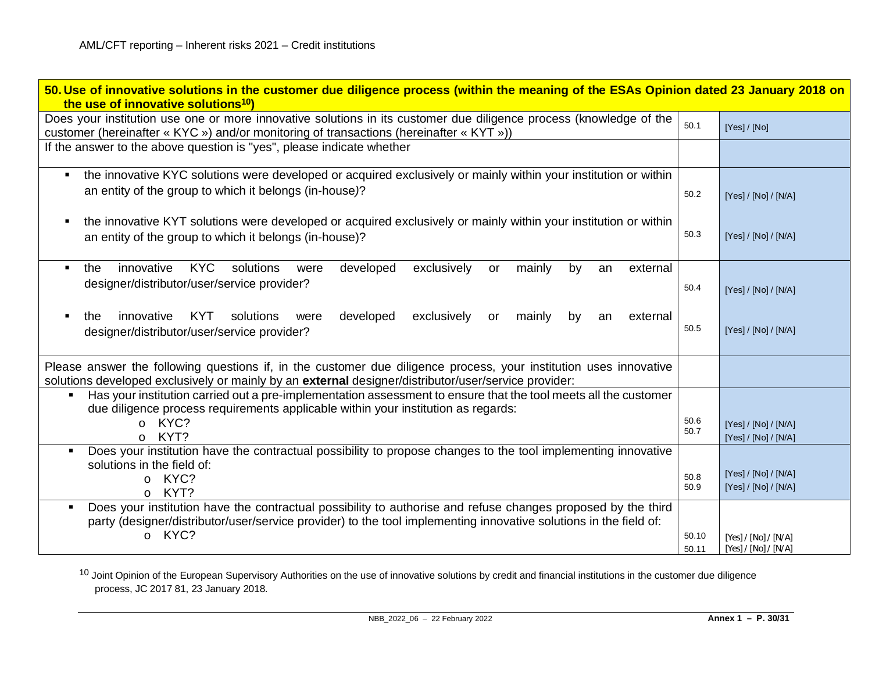<span id="page-29-0"></span>

| 50. Use of innovative solutions in the customer due diligence process (within the meaning of the ESAs Opinion dated 23 January 2018 on<br>the use of innovative solutions <sup>10</sup> )                                                                              |                |                                              |  |
|------------------------------------------------------------------------------------------------------------------------------------------------------------------------------------------------------------------------------------------------------------------------|----------------|----------------------------------------------|--|
| Does your institution use one or more innovative solutions in its customer due diligence process (knowledge of the<br>customer (hereinafter « KYC ») and/or monitoring of transactions (hereinafter « KYT »))                                                          | 50.1           | [Yes] / [No]                                 |  |
| If the answer to the above question is "yes", please indicate whether                                                                                                                                                                                                  |                |                                              |  |
| the innovative KYC solutions were developed or acquired exclusively or mainly within your institution or within<br>an entity of the group to which it belongs (in-house)?                                                                                              | 50.2           | [Yes] / [No] / [N/A]                         |  |
| the innovative KYT solutions were developed or acquired exclusively or mainly within your institution or within<br>an entity of the group to which it belongs (in-house)?                                                                                              | 50.3           | [Yes] / [No] / [N/A]                         |  |
| innovative<br><b>KYC</b><br>developed<br>mainly<br>solutions<br>exclusively<br>by<br>the<br>external<br>were<br>or<br>$\blacksquare$<br>an<br>designer/distributor/user/service provider?                                                                              | 50.4           | [Yes] / [No] / [N/A]                         |  |
| innovative<br><b>KYT</b><br>solutions<br>developed<br>exclusively<br>mainly<br>by<br>external<br>the<br>were<br><b>or</b><br>an<br>designer/distributor/user/service provider?                                                                                         | 50.5           | [Yes] / [No] / [N/A]                         |  |
| Please answer the following questions if, in the customer due diligence process, your institution uses innovative<br>solutions developed exclusively or mainly by an external designer/distributor/user/service provider:                                              |                |                                              |  |
| Has your institution carried out a pre-implementation assessment to ensure that the tool meets all the customer<br>$\blacksquare$<br>due diligence process requirements applicable within your institution as regards:<br>KYC?<br>$\Omega$<br>KYT?<br>$\circ$          | 50.6<br>50.7   | [Yes] / [No] / [N/A]<br>[Yes] / [No] / [N/A] |  |
| Does your institution have the contractual possibility to propose changes to the tool implementing innovative<br>$\blacksquare$<br>solutions in the field of:<br>KYC?<br>$\circ$<br>KYT?<br>$\circ$                                                                    | 50.8<br>50.9   | [Yes] / [No] / [N/A]<br>[Yes] / [No] / [N/A] |  |
| Does your institution have the contractual possibility to authorise and refuse changes proposed by the third<br>$\blacksquare$<br>party (designer/distributor/user/service provider) to the tool implementing innovative solutions in the field of:<br>KYC?<br>$\circ$ | 50.10<br>50.11 | [Yes] / [No] / [N/A]<br>[Yes] / [No] / [N/A] |  |

<sup>10</sup> Joint Opinion of the European Supervisory Authorities on the use of innovative solutions by credit and financial institutions in the customer due diligence process, JC 2017 81, 23 January 2018.